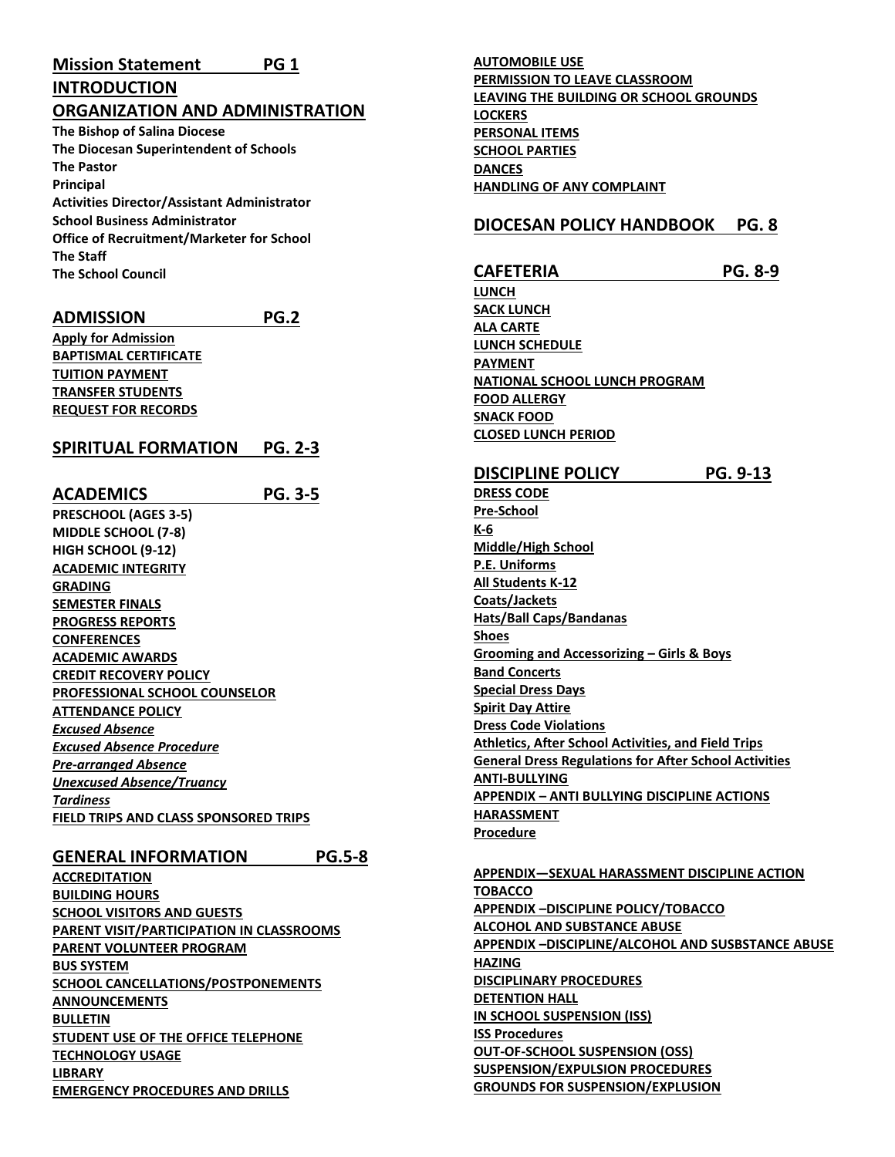# **INTRODUCTION**

**ORGANIZATION AND ADMINISTRATION The Bishop of Salina Diocese The Diocesan Superintendent of Schools The Pastor Principal Activities Director/Assistant Administrator School Business Administrator Office of Recruitment/Marketer for School The Staff**

**The School Council**

## **ADMISSION PG.2**

**Apply for Admission BAPTISMAL CERTIFICATE TUITION PAYMENT TRANSFER STUDENTS REQUEST FOR RECORDS**

## **SPIRITUAL FORMATION PG. 2-3**

**ACADEMICS PG. 3-5 PRESCHOOL (AGES 3-5) MIDDLE SCHOOL (7-8) HIGH SCHOOL (9-12) ACADEMIC INTEGRITY GRADING SEMESTER FINALS PROGRESS REPORTS CONFERENCES ACADEMIC AWARDS CREDIT RECOVERY POLICY PROFESSIONAL SCHOOL COUNSELOR ATTENDANCE POLICY** *Excused Absence Excused Absence Procedure Pre-arranged Absence Unexcused Absence/Truancy Tardiness* **FIELD TRIPS AND CLASS SPONSORED TRIPS**

## **GENERAL INFORMATION PG.5-8**

**ACCREDITATION BUILDING HOURS SCHOOL VISITORS AND GUESTS PARENT VISIT/PARTICIPATION IN CLASSROOMS PARENT VOLUNTEER PROGRAM BUS SYSTEM SCHOOL CANCELLATIONS/POSTPONEMENTS ANNOUNCEMENTS BULLETIN STUDENT USE OF THE OFFICE TELEPHONE TECHNOLOGY USAGE LIBRARY EMERGENCY PROCEDURES AND DRILLS**

**AUTOMOBILE USE PERMISSION TO LEAVE CLASSROOM LEAVING THE BUILDING OR SCHOOL GROUNDS LOCKERS PERSONAL ITEMS SCHOOL PARTIES DANCES HANDLING OF ANY COMPLAINT**

## **DIOCESAN POLICY HANDBOOK PG. 8**

**CAFETERIA PG. 8-9 LUNCH SACK LUNCH ALA CARTE LUNCH SCHEDULE PAYMENT NATIONAL SCHOOL LUNCH PROGRAM FOOD ALLERGY SNACK FOOD CLOSED LUNCH PERIOD DISCIPLINE POLICY PG. 9-13 DRESS CODE Pre-School K-6 Middle/High School P.E. Uniforms All Students K-12 Coats/Jackets Hats/Ball Caps/Bandanas Shoes Grooming and Accessorizing – Girls & Boys Band Concerts Special Dress Days Spirit Day Attire Dress Code Violations Athletics, After School Activities, and Field Trips General Dress Regulations for After School Activities ANTI-BULLYING APPENDIX – ANTI BULLYING DISCIPLINE ACTIONS HARASSMENT Procedure**

**APPENDIX—SEXUAL HARASSMENT DISCIPLINE ACTION TOBACCO APPENDIX –DISCIPLINE POLICY/TOBACCO ALCOHOL AND SUBSTANCE ABUSE APPENDIX –DISCIPLINE/ALCOHOL AND SUSBSTANCE ABUSE HAZING DISCIPLINARY PROCEDURES DETENTION HALL IN SCHOOL SUSPENSION (ISS) ISS Procedures OUT-OF-SCHOOL SUSPENSION (OSS) SUSPENSION/EXPULSION PROCEDURES GROUNDS FOR SUSPENSION/EXPLUSION**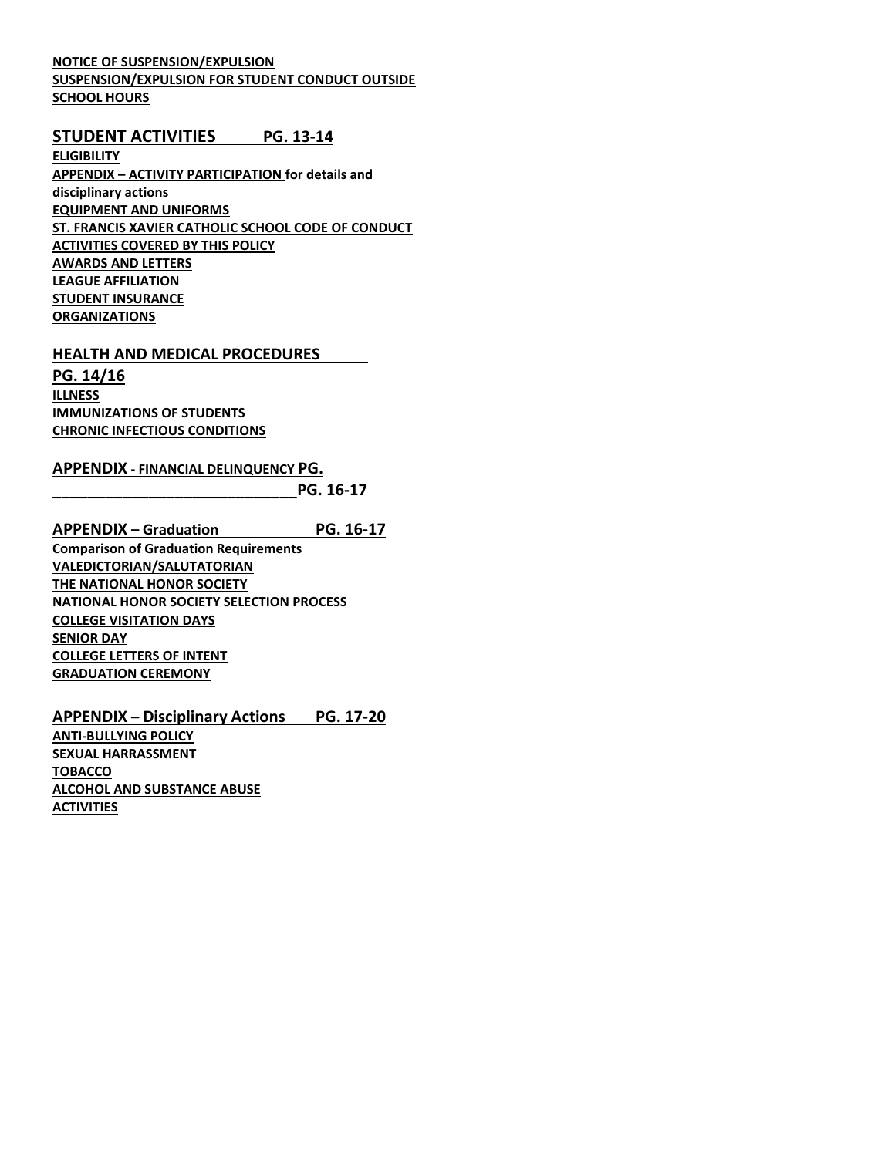## **NOTICE OF SUSPENSION/EXPULSION SUSPENSION/EXPULSION FOR STUDENT CONDUCT OUTSIDE SCHOOL HOURS**

## **STUDENT ACTIVITIES PG. 13-14**

**ELIGIBILITY APPENDIX – ACTIVITY PARTICIPATION for details and disciplinary actions EQUIPMENT AND UNIFORMS ST. FRANCIS XAVIER CATHOLIC SCHOOL CODE OF CONDUCT ACTIVITIES COVERED BY THIS POLICY AWARDS AND LETTERS LEAGUE AFFILIATION STUDENT INSURANCE ORGANIZATIONS**

### **HEALTH AND MEDICAL PROCEDURES**

**PG. 14/16 ILLNESS IMMUNIZATIONS OF STUDENTS CHRONIC INFECTIOUS CONDITIONS**

## **APPENDIX - FINANCIAL DELINQUENCY PG.**

**\_\_\_\_\_\_\_\_\_\_\_\_\_\_\_\_\_\_\_\_\_\_\_\_\_\_\_\_PG. 16-17**

**APPENDIX – Graduation PG. 16-17 Comparison of Graduation Requirements VALEDICTORIAN/SALUTATORIAN THE NATIONAL HONOR SOCIETY NATIONAL HONOR SOCIETY SELECTION PROCESS COLLEGE VISITATION DAYS SENIOR DAY COLLEGE LETTERS OF INTENT GRADUATION CEREMONY**

**APPENDIX – Disciplinary Actions PG. 17-20 ANTI-BULLYING POLICY SEXUAL HARRASSMENT TOBACCO ALCOHOL AND SUBSTANCE ABUSE ACTIVITIES**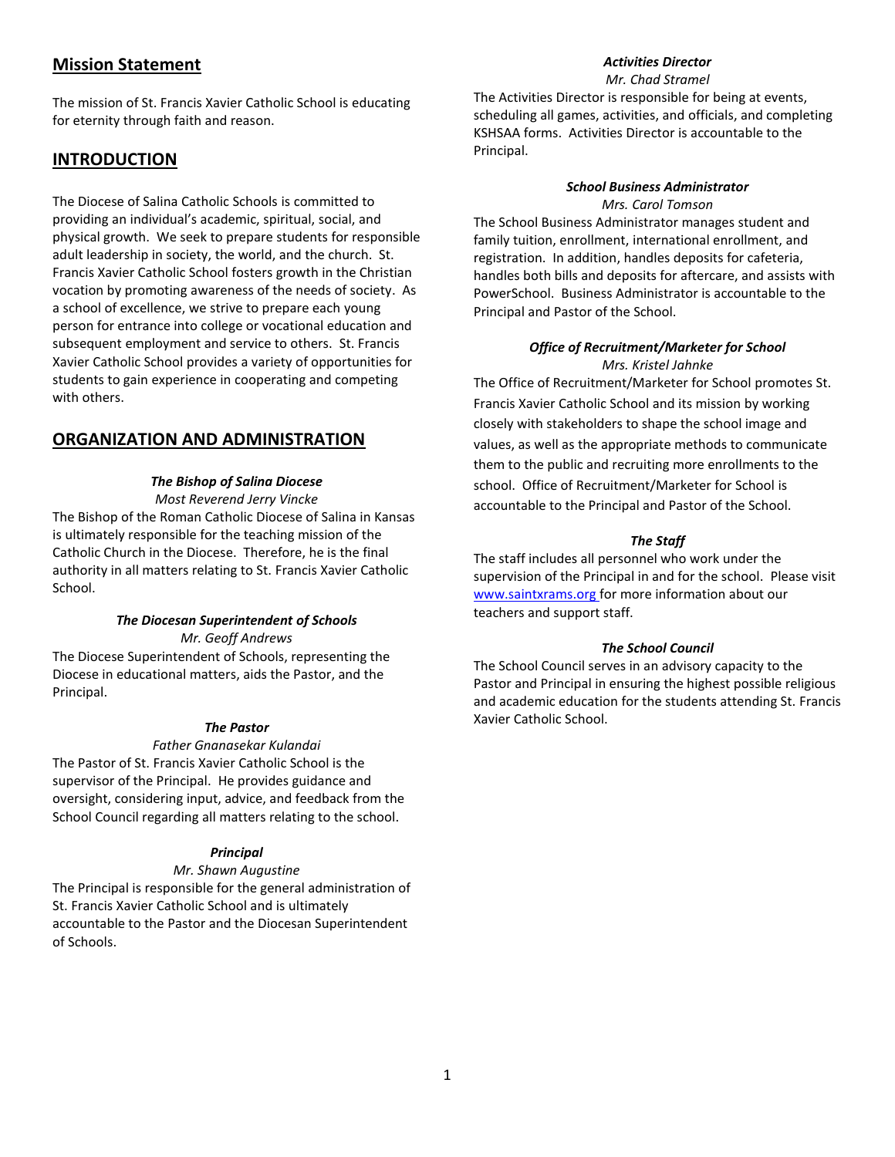## **Mission Statement**

The mission of St. Francis Xavier Catholic School is educating for eternity through faith and reason.

## **INTRODUCTION**

School.

The Diocese of Salina Catholic Schools is committed to providing an individual's academic, spiritual, social, and physical growth. We seek to prepare students for responsible adult leadership in society, the world, and the church. St. Francis Xavier Catholic School fosters growth in the Christian vocation by promoting awareness of the needs of society. As a school of excellence, we strive to prepare each young person for entrance into college or vocational education and subsequent employment and service to others. St. Francis Xavier Catholic School provides a variety of opportunities for students to gain experience in cooperating and competing with others.

## **ORGANIZATION AND ADMINISTRATION**

## *The Bishop of Salina Diocese*

*Most Reverend Jerry Vincke* The Bishop of the Roman Catholic Diocese of Salina in Kansas is ultimately responsible for the teaching mission of the Catholic Church in the Diocese. Therefore, he is the final authority in all matters relating to St. Francis Xavier Catholic

## *The Diocesan Superintendent of Schools*

*Mr. Geoff Andrews* The Diocese Superintendent of Schools, representing the

Diocese in educational matters, aids the Pastor, and the Principal.

## *The Pastor*

#### *Father Gnanasekar Kulandai*

The Pastor of St. Francis Xavier Catholic School is the supervisor of the Principal. He provides guidance and oversight, considering input, advice, and feedback from the School Council regarding all matters relating to the school.

## *Principal*

#### *Mr. Shawn Augustine*

The Principal is responsible for the general administration of St. Francis Xavier Catholic School and is ultimately accountable to the Pastor and the Diocesan Superintendent of Schools.

## *Activities Director*

*Mr. Chad Stramel*

The Activities Director is responsible for being at events, scheduling all games, activities, and officials, and completing KSHSAA forms. Activities Director is accountable to the Principal.

#### *School Business Administrator Mrs. Carol Tomson*

The School Business Administrator manages student and family tuition, enrollment, international enrollment, and registration. In addition, handles deposits for cafeteria, handles both bills and deposits for aftercare, and assists with PowerSchool. Business Administrator is accountable to the Principal and Pastor of the School.

## *Office of Recruitment/Marketer for School Mrs. Kristel Jahnke*

The Office of Recruitment/Marketer for School promotes St. Francis Xavier Catholic School and its mission by working closely with stakeholders to shape the school image and values, as well as the appropriate methods to communicate them to the public and recruiting more enrollments to the school. Office of Recruitment/Marketer for School is accountable to the Principal and Pastor of the School.

## *The Staff*

The staff includes all personnel who work under the supervision of the Principal in and for the school. Please visit [www.saintxrams.org](http://www.saintxrams.org/) for more information about our teachers and support staff.

## *The School Council*

The School Council serves in an advisory capacity to the Pastor and Principal in ensuring the highest possible religious and academic education for the students attending St. Francis Xavier Catholic School.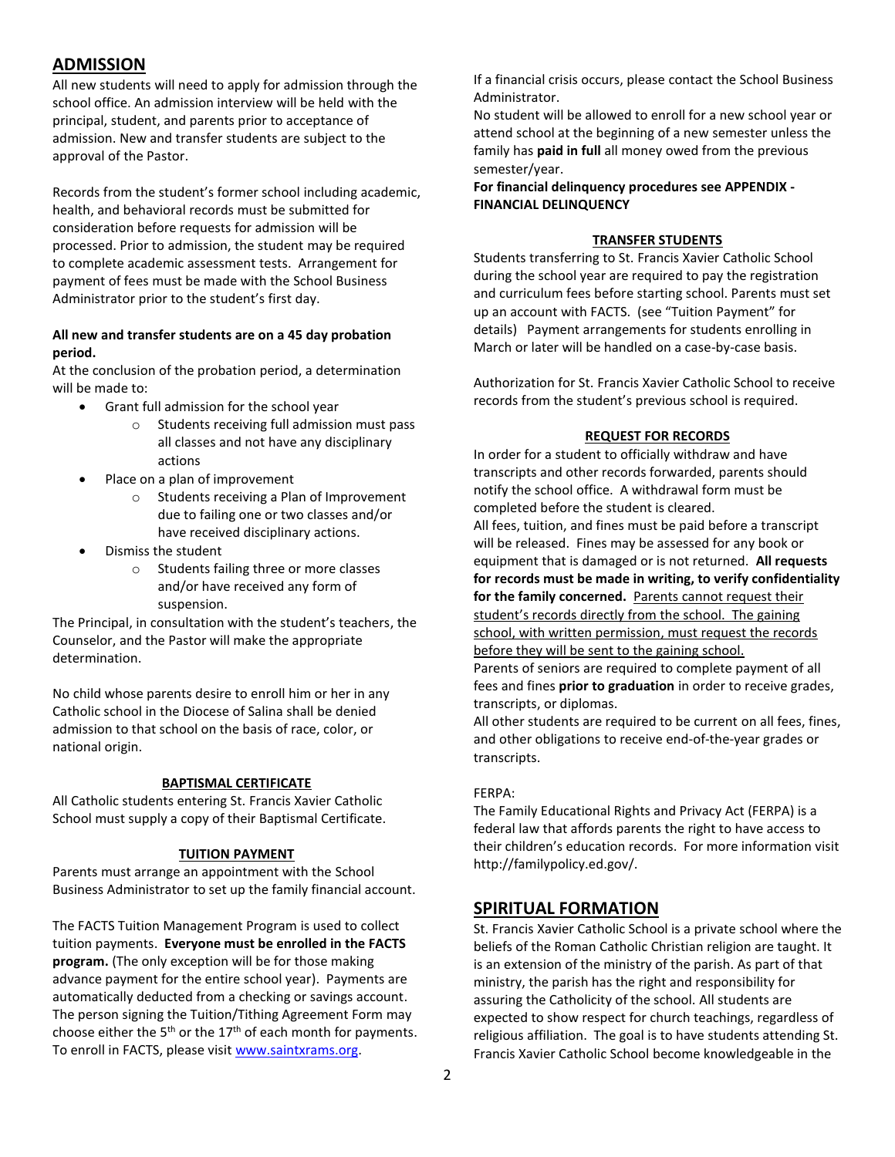## **ADMISSION**

All new students will need to apply for admission through the school office. An admission interview will be held with the principal, student, and parents prior to acceptance of admission. New and transfer students are subject to the approval of the Pastor.

Records from the student's former school including academic, health, and behavioral records must be submitted for consideration before requests for admission will be processed. Prior to admission, the student may be required to complete academic assessment tests. Arrangement for payment of fees must be made with the School Business Administrator prior to the student's first day.

## **All new and transfer students are on a 45 day probation period.**

At the conclusion of the probation period, a determination will be made to:

- Grant full admission for the school year
	- o Students receiving full admission must pass all classes and not have any disciplinary actions
- Place on a plan of improvement
	- o Students receiving a Plan of Improvement due to failing one or two classes and/or have received disciplinary actions.
- Dismiss the student
	- o Students failing three or more classes and/or have received any form of suspension.

The Principal, in consultation with the student's teachers, the Counselor, and the Pastor will make the appropriate determination.

No child whose parents desire to enroll him or her in any Catholic school in the Diocese of Salina shall be denied admission to that school on the basis of race, color, or national origin.

## **BAPTISMAL CERTIFICATE**

All Catholic students entering St. Francis Xavier Catholic School must supply a copy of their Baptismal Certificate.

## **TUITION PAYMENT**

Parents must arrange an appointment with the School Business Administrator to set up the family financial account.

The FACTS Tuition Management Program is used to collect tuition payments. **Everyone must be enrolled in the FACTS program.** (The only exception will be for those making advance payment for the entire school year). Payments are automatically deducted from a checking or savings account. The person signing the Tuition/Tithing Agreement Form may choose either the  $5<sup>th</sup>$  or the  $17<sup>th</sup>$  of each month for payments. To enroll in FACTS, please visit [www.saintxrams.org.](http://www.saintxrams.org/)

If a financial crisis occurs, please contact the School Business Administrator.

No student will be allowed to enroll for a new school year or attend school at the beginning of a new semester unless the family has **paid in full** all money owed from the previous semester/year.

**For financial delinquency procedures see APPENDIX - FINANCIAL DELINQUENCY** 

#### **TRANSFER STUDENTS**

Students transferring to St. Francis Xavier Catholic School during the school year are required to pay the registration and curriculum fees before starting school. Parents must set up an account with FACTS. (see "Tuition Payment" for details) Payment arrangements for students enrolling in March or later will be handled on a case-by-case basis.

Authorization for St. Francis Xavier Catholic School to receive records from the student's previous school is required.

### **REQUEST FOR RECORDS**

In order for a student to officially withdraw and have transcripts and other records forwarded, parents should notify the school office. A withdrawal form must be completed before the student is cleared. All fees, tuition, and fines must be paid before a transcript will be released. Fines may be assessed for any book or equipment that is damaged or is not returned. **All requests for records must be made in writing, to verify confidentiality for the family concerned.** Parents cannot request their student's records directly from the school. The gaining school, with written permission, must request the records before they will be sent to the gaining school. Parents of seniors are required to complete payment of all fees and fines **prior to graduation** in order to receive grades, transcripts, or diplomas.

All other students are required to be current on all fees, fines, and other obligations to receive end-of-the-year grades or transcripts.

#### FERPA:

The Family Educational Rights and Privacy Act (FERPA) is a federal law that affords parents the right to have access to their children's education records. For more information visit http://familypolicy.ed.gov/.

## **SPIRITUAL FORMATION**

St. Francis Xavier Catholic School is a private school where the beliefs of the Roman Catholic Christian religion are taught. It is an extension of the ministry of the parish. As part of that ministry, the parish has the right and responsibility for assuring the Catholicity of the school. All students are expected to show respect for church teachings, regardless of religious affiliation. The goal is to have students attending St. Francis Xavier Catholic School become knowledgeable in the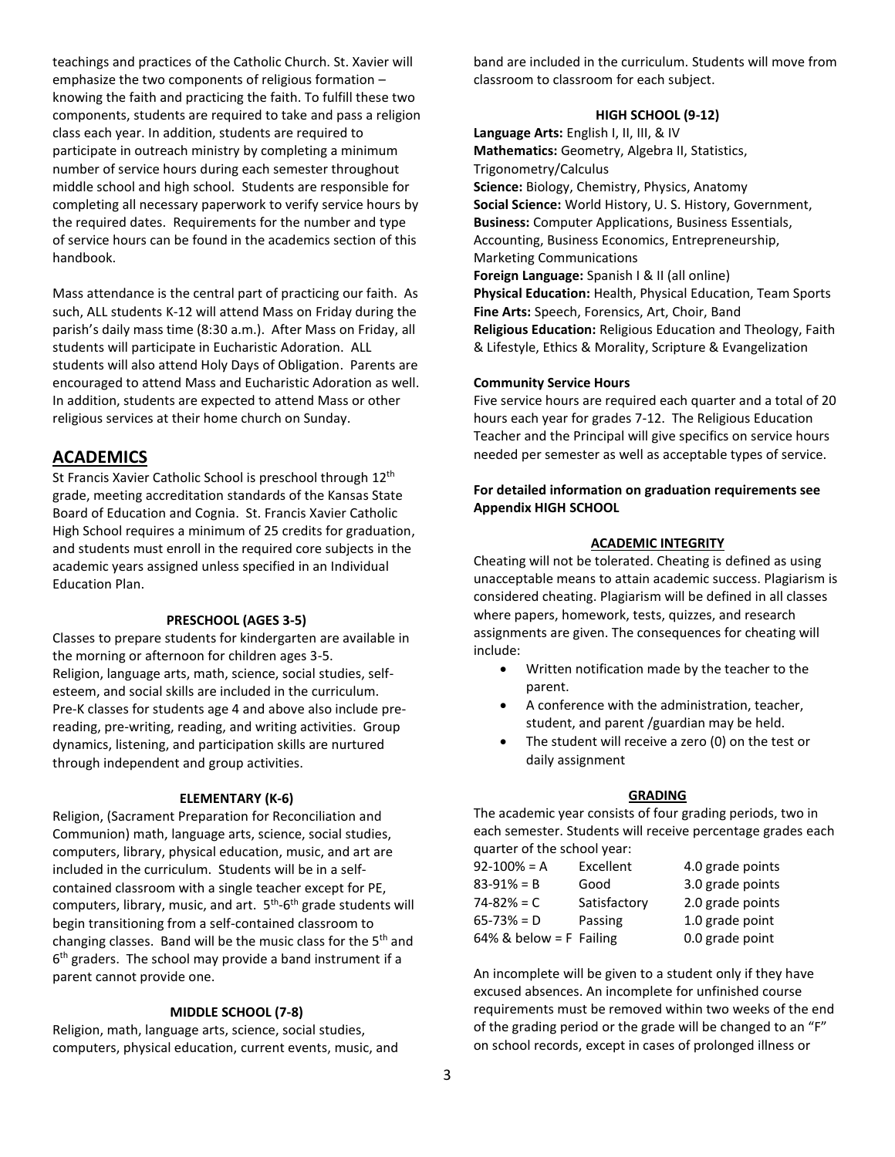teachings and practices of the Catholic Church. St. Xavier will emphasize the two components of religious formation – knowing the faith and practicing the faith. To fulfill these two components, students are required to take and pass a religion class each year. In addition, students are required to participate in outreach ministry by completing a minimum number of service hours during each semester throughout middle school and high school. Students are responsible for completing all necessary paperwork to verify service hours by the required dates. Requirements for the number and type of service hours can be found in the academics section of this handbook.

Mass attendance is the central part of practicing our faith. As such, ALL students K-12 will attend Mass on Friday during the parish's daily mass time (8:30 a.m.). After Mass on Friday, all students will participate in Eucharistic Adoration. ALL students will also attend Holy Days of Obligation. Parents are encouraged to attend Mass and Eucharistic Adoration as well. In addition, students are expected to attend Mass or other religious services at their home church on Sunday.

## **ACADEMICS**

St Francis Xavier Catholic School is preschool through 12<sup>th</sup> grade, meeting accreditation standards of the Kansas State Board of Education and Cognia. St. Francis Xavier Catholic High School requires a minimum of 25 credits for graduation, and students must enroll in the required core subjects in the academic years assigned unless specified in an Individual Education Plan.

#### **PRESCHOOL (AGES 3-5)**

Classes to prepare students for kindergarten are available in the morning or afternoon for children ages 3-5. Religion, language arts, math, science, social studies, selfesteem, and social skills are included in the curriculum. Pre-K classes for students age 4 and above also include prereading, pre-writing, reading, and writing activities. Group dynamics, listening, and participation skills are nurtured through independent and group activities.

#### **ELEMENTARY (K-6)**

Religion, (Sacrament Preparation for Reconciliation and Communion) math, language arts, science, social studies, computers, library, physical education, music, and art are included in the curriculum. Students will be in a selfcontained classroom with a single teacher except for PE, computers, library, music, and art. 5<sup>th</sup>-6<sup>th</sup> grade students will begin transitioning from a self-contained classroom to changing classes. Band will be the music class for the 5<sup>th</sup> and 6<sup>th</sup> graders. The school may provide a band instrument if a parent cannot provide one.

#### **MIDDLE SCHOOL (7-8)**

Religion, math, language arts, science, social studies, computers, physical education, current events, music, and band are included in the curriculum. Students will move from classroom to classroom for each subject.

#### **HIGH SCHOOL (9-12)**

**Language Arts:** English I, II, III, & IV **Mathematics:** Geometry, Algebra II, Statistics, Trigonometry/Calculus **Science:** Biology, Chemistry, Physics, Anatomy **Social Science:** World History, U. S. History, Government, **Business:** Computer Applications, Business Essentials, Accounting, Business Economics, Entrepreneurship, Marketing Communications **Foreign Language:** Spanish I & II (all online) **Physical Education:** Health, Physical Education, Team Sports **Fine Arts:** Speech, Forensics, Art, Choir, Band **Religious Education:** Religious Education and Theology, Faith & Lifestyle, Ethics & Morality, Scripture & Evangelization

#### **Community Service Hours**

Five service hours are required each quarter and a total of 20 hours each year for grades 7-12. The Religious Education Teacher and the Principal will give specifics on service hours needed per semester as well as acceptable types of service.

## **For detailed information on graduation requirements see Appendix HIGH SCHOOL**

#### **ACADEMIC INTEGRITY**

Cheating will not be tolerated. Cheating is defined as using unacceptable means to attain academic success. Plagiarism is considered cheating. Plagiarism will be defined in all classes where papers, homework, tests, quizzes, and research assignments are given. The consequences for cheating will include:

- Written notification made by the teacher to the parent.
- A conference with the administration, teacher, student, and parent /guardian may be held.
- The student will receive a zero (0) on the test or daily assignment

#### **GRADING**

The academic year consists of four grading periods, two in each semester. Students will receive percentage grades each quarter of the school year:

| $92-100\% = A$             | Excellent    | 4.0 grade points |
|----------------------------|--------------|------------------|
| $83 - 91\% = B$            | Good         | 3.0 grade points |
| 74-82% = C                 | Satisfactory | 2.0 grade points |
| $65 - 73% = D$             | Passing      | 1.0 grade point  |
| $64\%$ & below = F Failing |              | 0.0 grade point  |

An incomplete will be given to a student only if they have excused absences. An incomplete for unfinished course requirements must be removed within two weeks of the end of the grading period or the grade will be changed to an "F" on school records, except in cases of prolonged illness or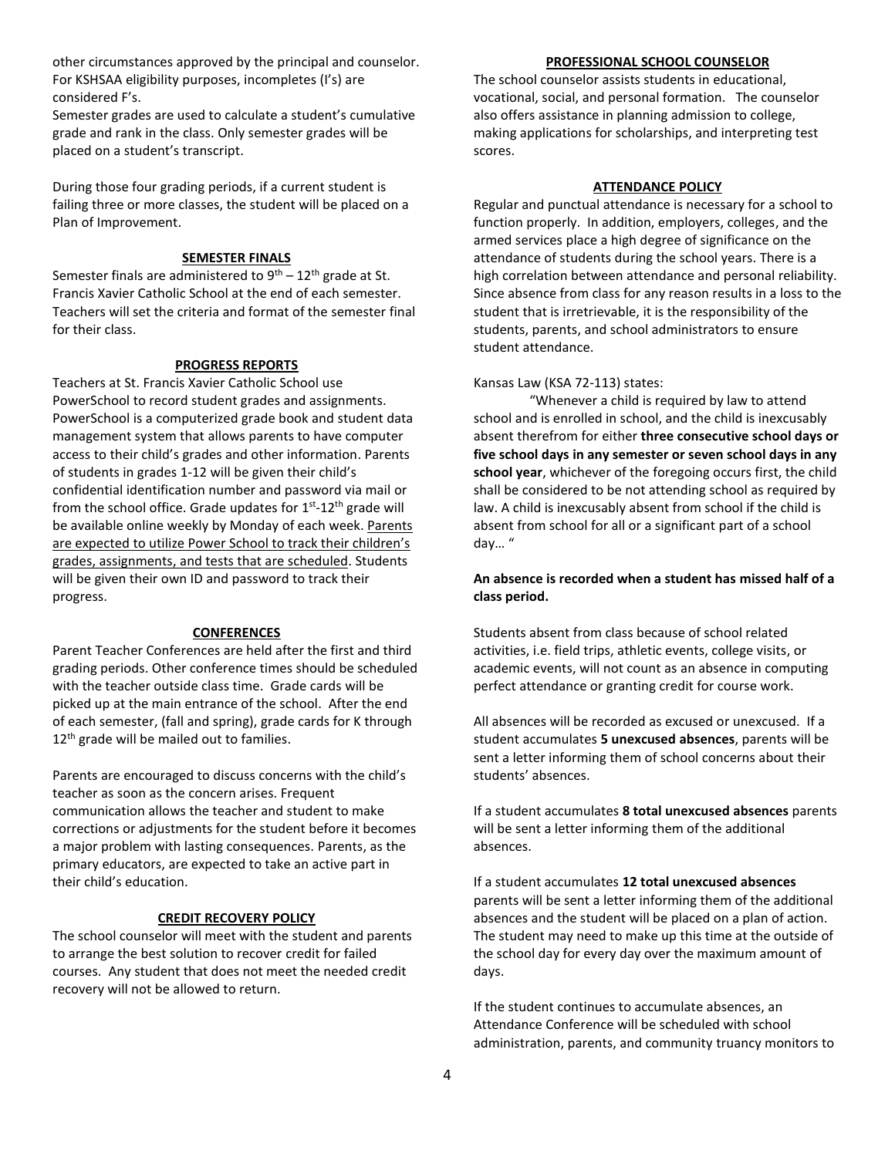other circumstances approved by the principal and counselor. For KSHSAA eligibility purposes, incompletes (I's) are considered F's.

Semester grades are used to calculate a student's cumulative grade and rank in the class. Only semester grades will be placed on a student's transcript.

During those four grading periods, if a current student is failing three or more classes, the student will be placed on a Plan of Improvement.

## **SEMESTER FINALS**

Semester finals are administered to  $9<sup>th</sup> - 12<sup>th</sup>$  grade at St. Francis Xavier Catholic School at the end of each semester. Teachers will set the criteria and format of the semester final for their class.

#### **PROGRESS REPORTS**

Teachers at St. Francis Xavier Catholic School use PowerSchool to record student grades and assignments. PowerSchool is a computerized grade book and student data management system that allows parents to have computer access to their child's grades and other information. Parents of students in grades 1-12 will be given their child's confidential identification number and password via mail or from the school office. Grade updates for 1<sup>st</sup>-12<sup>th</sup> grade will be available online weekly by Monday of each week. Parents are expected to utilize Power School to track their children's grades, assignments, and tests that are scheduled. Students will be given their own ID and password to track their progress.

#### **CONFERENCES**

Parent Teacher Conferences are held after the first and third grading periods. Other conference times should be scheduled with the teacher outside class time. Grade cards will be picked up at the main entrance of the school. After the end of each semester, (fall and spring), grade cards for K through  $12<sup>th</sup>$  grade will be mailed out to families.

Parents are encouraged to discuss concerns with the child's teacher as soon as the concern arises. Frequent communication allows the teacher and student to make corrections or adjustments for the student before it becomes a major problem with lasting consequences. Parents, as the primary educators, are expected to take an active part in their child's education.

#### **CREDIT RECOVERY POLICY**

The school counselor will meet with the student and parents to arrange the best solution to recover credit for failed courses. Any student that does not meet the needed credit recovery will not be allowed to return.

#### **PROFESSIONAL SCHOOL COUNSELOR**

The school counselor assists students in educational, vocational, social, and personal formation. The counselor also offers assistance in planning admission to college, making applications for scholarships, and interpreting test scores.

#### **ATTENDANCE POLICY**

Regular and punctual attendance is necessary for a school to function properly. In addition, employers, colleges, and the armed services place a high degree of significance on the attendance of students during the school years. There is a high correlation between attendance and personal reliability. Since absence from class for any reason results in a loss to the student that is irretrievable, it is the responsibility of the students, parents, and school administrators to ensure student attendance.

#### Kansas Law (KSA 72-113) states:

"Whenever a child is required by law to attend school and is enrolled in school, and the child is inexcusably absent therefrom for either **three consecutive school days or five school days in any semester or seven school days in any school year**, whichever of the foregoing occurs first, the child shall be considered to be not attending school as required by law. A child is inexcusably absent from school if the child is absent from school for all or a significant part of a school day… "

### **An absence is recorded when a student has missed half of a class period.**

Students absent from class because of school related activities, i.e. field trips, athletic events, college visits, or academic events, will not count as an absence in computing perfect attendance or granting credit for course work.

All absences will be recorded as excused or unexcused. If a student accumulates **5 unexcused absences**, parents will be sent a letter informing them of school concerns about their students' absences.

If a student accumulates **8 total unexcused absences** parents will be sent a letter informing them of the additional absences.

If a student accumulates **12 total unexcused absences**  parents will be sent a letter informing them of the additional absences and the student will be placed on a plan of action. The student may need to make up this time at the outside of the school day for every day over the maximum amount of days.

If the student continues to accumulate absences, an Attendance Conference will be scheduled with school administration, parents, and community truancy monitors to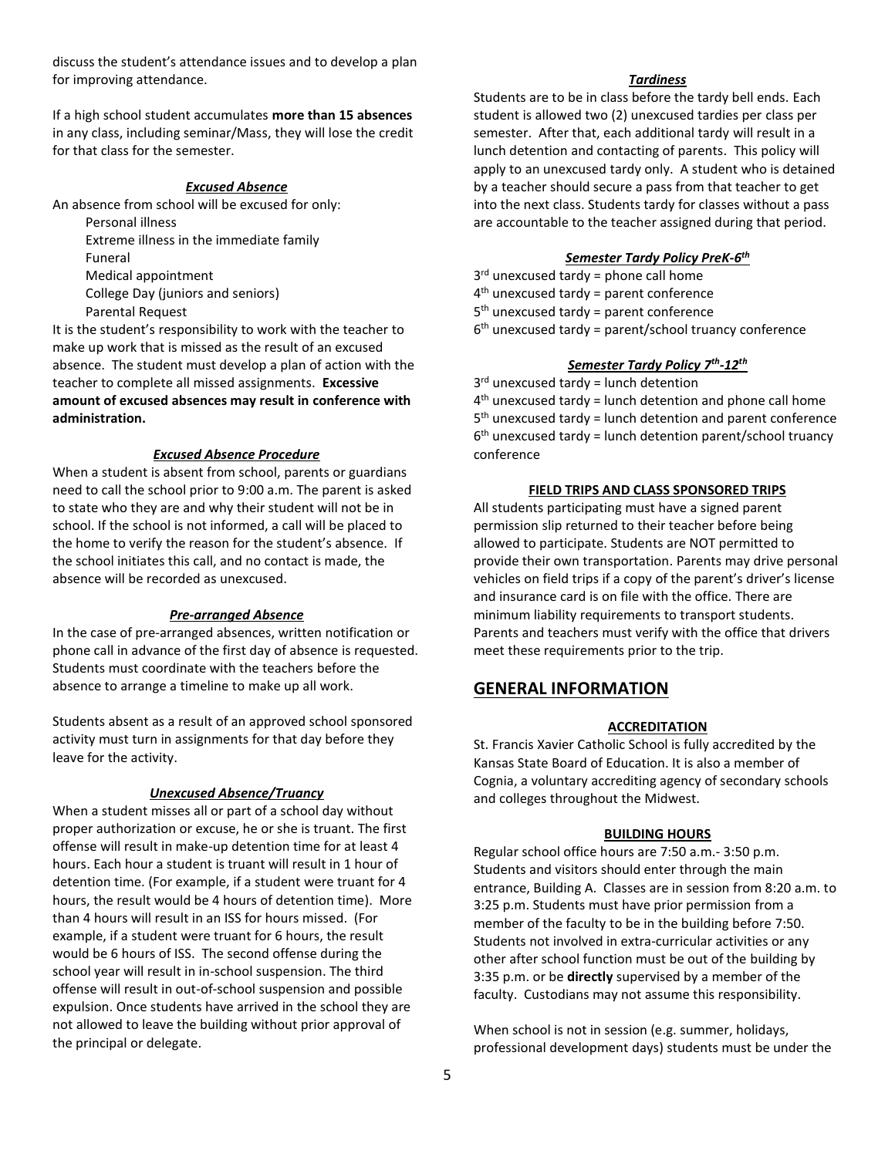discuss the student's attendance issues and to develop a plan for improving attendance.

If a high school student accumulates **more than 15 absences** in any class, including seminar/Mass, they will lose the credit for that class for the semester.

#### *Excused Absence*

An absence from school will be excused for only:

Personal illness Extreme illness in the immediate family Funeral Medical appointment College Day (juniors and seniors)

Parental Request

It is the student's responsibility to work with the teacher to make up work that is missed as the result of an excused absence. The student must develop a plan of action with the teacher to complete all missed assignments. **Excessive amount of excused absences may result in conference with administration.**

#### *Excused Absence Procedure*

When a student is absent from school, parents or guardians need to call the school prior to 9:00 a.m. The parent is asked to state who they are and why their student will not be in school. If the school is not informed, a call will be placed to the home to verify the reason for the student's absence. If the school initiates this call, and no contact is made, the absence will be recorded as unexcused.

#### *Pre-arranged Absence*

In the case of pre-arranged absences, written notification or phone call in advance of the first day of absence is requested. Students must coordinate with the teachers before the absence to arrange a timeline to make up all work.

Students absent as a result of an approved school sponsored activity must turn in assignments for that day before they leave for the activity.

#### *Unexcused Absence/Truancy*

When a student misses all or part of a school day without proper authorization or excuse, he or she is truant. The first offense will result in make-up detention time for at least 4 hours. Each hour a student is truant will result in 1 hour of detention time. (For example, if a student were truant for 4 hours, the result would be 4 hours of detention time). More than 4 hours will result in an ISS for hours missed. (For example, if a student were truant for 6 hours, the result would be 6 hours of ISS. The second offense during the school year will result in in-school suspension. The third offense will result in out-of-school suspension and possible expulsion. Once students have arrived in the school they are not allowed to leave the building without prior approval of the principal or delegate.

#### *Tardiness*

Students are to be in class before the tardy bell ends. Each student is allowed two (2) unexcused tardies per class per semester. After that, each additional tardy will result in a lunch detention and contacting of parents. This policy will apply to an unexcused tardy only. A student who is detained by a teacher should secure a pass from that teacher to get into the next class. Students tardy for classes without a pass are accountable to the teacher assigned during that period.

#### *Semester Tardy Policy PreK-6 th*

- 3<sup>rd</sup> unexcused tardy = phone call home
- 4 th unexcused tardy = parent conference
- 5<sup>th</sup> unexcused tardy = parent conference
- 6<sup>th</sup> unexcused tardy = parent/school truancy conference

#### *Semester Tardy Policy 7th -12th*

3<sup>rd</sup> unexcused tardy = lunch detention 4<sup>th</sup> unexcused tardy = lunch detention and phone call home 5<sup>th</sup> unexcused tardy = lunch detention and parent conference 6 th unexcused tardy = lunch detention parent/school truancy conference

#### **FIELD TRIPS AND CLASS SPONSORED TRIPS**

All students participating must have a signed parent permission slip returned to their teacher before being allowed to participate. Students are NOT permitted to provide their own transportation. Parents may drive personal vehicles on field trips if a copy of the parent's driver's license and insurance card is on file with the office. There are minimum liability requirements to transport students. Parents and teachers must verify with the office that drivers meet these requirements prior to the trip.

## **GENERAL INFORMATION**

#### **ACCREDITATION**

St. Francis Xavier Catholic School is fully accredited by the Kansas State Board of Education. It is also a member of Cognia, a voluntary accrediting agency of secondary schools and colleges throughout the Midwest.

#### **BUILDING HOURS**

Regular school office hours are 7:50 a.m.- 3:50 p.m. Students and visitors should enter through the main entrance, Building A. Classes are in session from 8:20 a.m. to 3:25 p.m. Students must have prior permission from a member of the faculty to be in the building before 7:50. Students not involved in extra-curricular activities or any other after school function must be out of the building by 3:35 p.m. or be **directly** supervised by a member of the faculty. Custodians may not assume this responsibility.

When school is not in session (e.g. summer, holidays, professional development days) students must be under the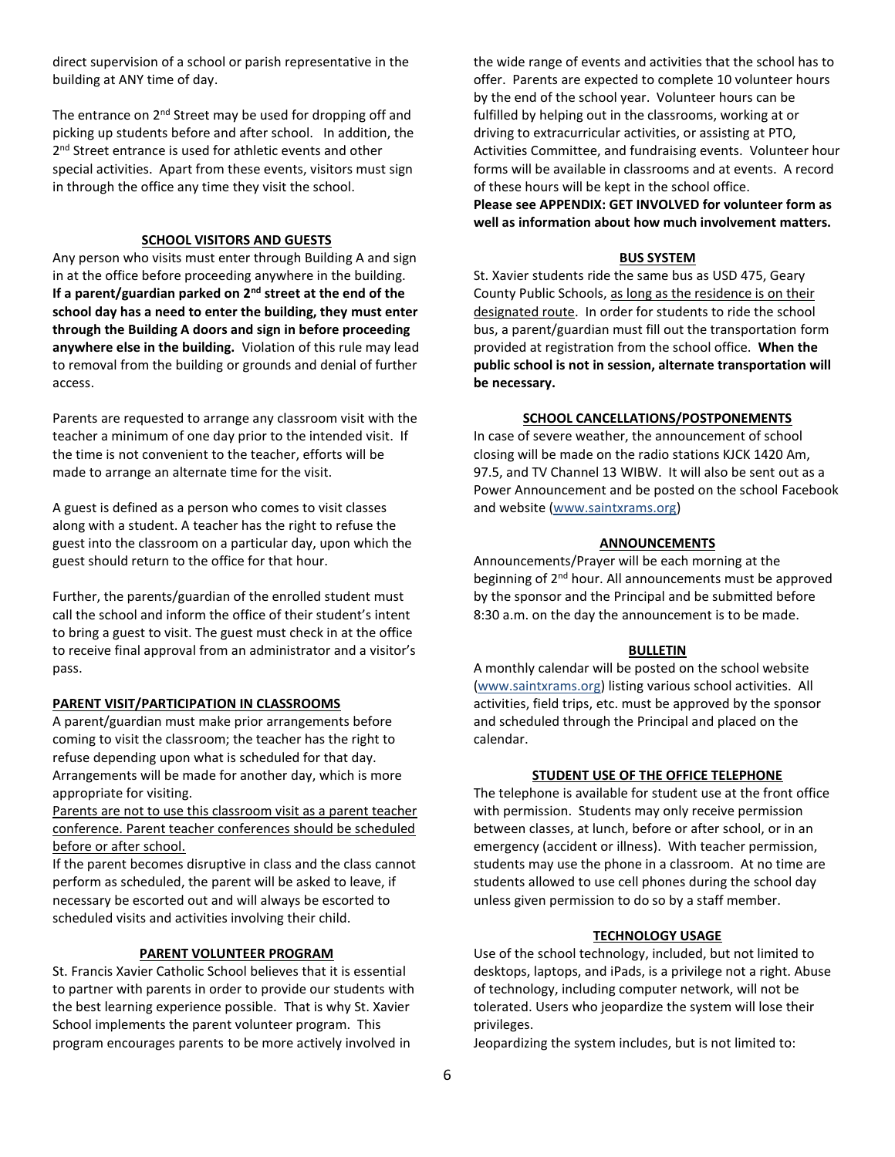direct supervision of a school or parish representative in the building at ANY time of day.

The entrance on 2<sup>nd</sup> Street may be used for dropping off and picking up students before and after school. In addition, the 2<sup>nd</sup> Street entrance is used for athletic events and other special activities. Apart from these events, visitors must sign in through the office any time they visit the school.

#### **SCHOOL VISITORS AND GUESTS**

Any person who visits must enter through Building A and sign in at the office before proceeding anywhere in the building. **If a parent/guardian parked on 2nd street at the end of the school day has a need to enter the building, they must enter through the Building A doors and sign in before proceeding anywhere else in the building.** Violation of this rule may lead to removal from the building or grounds and denial of further access.

Parents are requested to arrange any classroom visit with the teacher a minimum of one day prior to the intended visit. If the time is not convenient to the teacher, efforts will be made to arrange an alternate time for the visit.

A guest is defined as a person who comes to visit classes along with a student. A teacher has the right to refuse the guest into the classroom on a particular day, upon which the guest should return to the office for that hour.

Further, the parents/guardian of the enrolled student must call the school and inform the office of their student's intent to bring a guest to visit. The guest must check in at the office to receive final approval from an administrator and a visitor's pass.

#### **PARENT VISIT/PARTICIPATION IN CLASSROOMS**

A parent/guardian must make prior arrangements before coming to visit the classroom; the teacher has the right to refuse depending upon what is scheduled for that day. Arrangements will be made for another day, which is more appropriate for visiting.

Parents are not to use this classroom visit as a parent teacher conference. Parent teacher conferences should be scheduled before or after school.

If the parent becomes disruptive in class and the class cannot perform as scheduled, the parent will be asked to leave, if necessary be escorted out and will always be escorted to scheduled visits and activities involving their child.

#### **PARENT VOLUNTEER PROGRAM**

St. Francis Xavier Catholic School believes that it is essential to partner with parents in order to provide our students with the best learning experience possible. That is why St. Xavier School implements the parent volunteer program. This program encourages parents to be more actively involved in

the wide range of events and activities that the school has to offer. Parents are expected to complete 10 volunteer hours by the end of the school year. Volunteer hours can be fulfilled by helping out in the classrooms, working at or driving to extracurricular activities, or assisting at PTO, Activities Committee, and fundraising events. Volunteer hour forms will be available in classrooms and at events. A record of these hours will be kept in the school office. **Please see APPENDIX: GET INVOLVED for volunteer form as** 

**well as information about how much involvement matters.**

#### **BUS SYSTEM**

St. Xavier students ride the same bus as USD 475, Geary County Public Schools, as long as the residence is on their designated route. In order for students to ride the school bus, a parent/guardian must fill out the transportation form provided at registration from the school office. **When the public school is not in session, alternate transportation will be necessary.**

#### **SCHOOL CANCELLATIONS/POSTPONEMENTS**

In case of severe weather, the announcement of school closing will be made on the radio stations KJCK 1420 Am, 97.5, and TV Channel 13 WIBW. It will also be sent out as a Power Announcement and be posted on the school Facebook and website [\(www.saintxrams.org\)](http://www.saintxrams.org/)

#### **ANNOUNCEMENTS**

Announcements/Prayer will be each morning at the beginning of 2<sup>nd</sup> hour. All announcements must be approved by the sponsor and the Principal and be submitted before 8:30 a.m. on the day the announcement is to be made.

#### **BULLETIN**

A monthly calendar will be posted on the school website (www.saintxrams.org) listing various school activities. All activities, field trips, etc. must be approved by the sponsor and scheduled through the Principal and placed on the calendar.

#### **STUDENT USE OF THE OFFICE TELEPHONE**

The telephone is available for student use at the front office with permission. Students may only receive permission between classes, at lunch, before or after school, or in an emergency (accident or illness). With teacher permission, students may use the phone in a classroom. At no time are students allowed to use cell phones during the school day unless given permission to do so by a staff member.

#### **TECHNOLOGY USAGE**

Use of the school technology, included, but not limited to desktops, laptops, and iPads, is a privilege not a right. Abuse of technology, including computer network, will not be tolerated. Users who jeopardize the system will lose their privileges.

Jeopardizing the system includes, but is not limited to: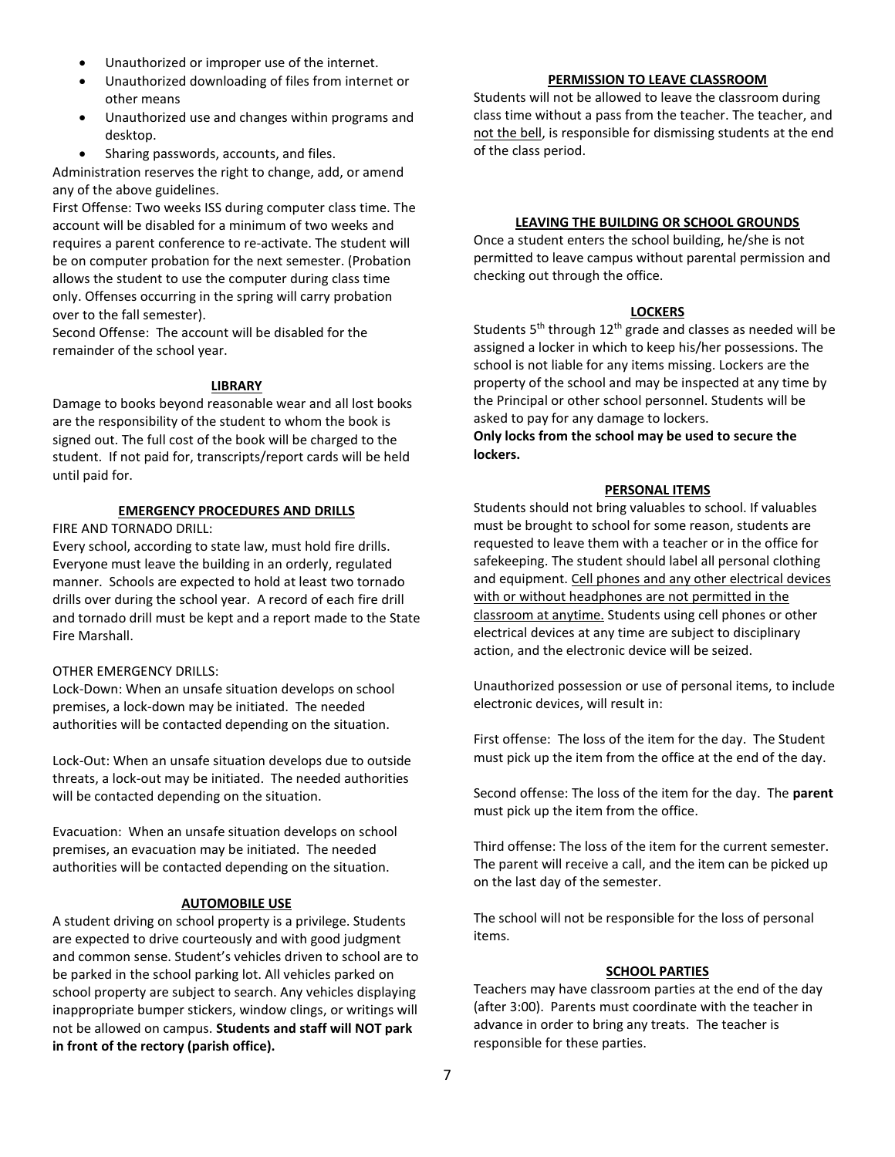- Unauthorized or improper use of the internet.
- Unauthorized downloading of files from internet or other means
- Unauthorized use and changes within programs and desktop.
- Sharing passwords, accounts, and files.

Administration reserves the right to change, add, or amend any of the above guidelines.

First Offense: Two weeks ISS during computer class time. The account will be disabled for a minimum of two weeks and requires a parent conference to re-activate. The student will be on computer probation for the next semester. (Probation allows the student to use the computer during class time only. Offenses occurring in the spring will carry probation over to the fall semester).

Second Offense: The account will be disabled for the remainder of the school year.

## **LIBRARY**

Damage to books beyond reasonable wear and all lost books are the responsibility of the student to whom the book is signed out. The full cost of the book will be charged to the student. If not paid for, transcripts/report cards will be held until paid for.

## **EMERGENCY PROCEDURES AND DRILLS**

FIRE AND TORNADO DRILL:

Every school, according to state law, must hold fire drills. Everyone must leave the building in an orderly, regulated manner. Schools are expected to hold at least two tornado drills over during the school year. A record of each fire drill and tornado drill must be kept and a report made to the State Fire Marshall.

## OTHER EMERGENCY DRILLS:

Lock-Down: When an unsafe situation develops on school premises, a lock-down may be initiated. The needed authorities will be contacted depending on the situation.

Lock-Out: When an unsafe situation develops due to outside threats, a lock-out may be initiated. The needed authorities will be contacted depending on the situation.

Evacuation: When an unsafe situation develops on school premises, an evacuation may be initiated. The needed authorities will be contacted depending on the situation.

## **AUTOMOBILE USE**

A student driving on school property is a privilege. Students are expected to drive courteously and with good judgment and common sense. Student's vehicles driven to school are to be parked in the school parking lot. All vehicles parked on school property are subject to search. Any vehicles displaying inappropriate bumper stickers, window clings, or writings will not be allowed on campus. **Students and staff will NOT park in front of the rectory (parish office).**

## **PERMISSION TO LEAVE CLASSROOM**

Students will not be allowed to leave the classroom during class time without a pass from the teacher. The teacher, and not the bell, is responsible for dismissing students at the end of the class period.

## **LEAVING THE BUILDING OR SCHOOL GROUNDS**

Once a student enters the school building, he/she is not permitted to leave campus without parental permission and checking out through the office.

### **LOCKERS**

Students 5<sup>th</sup> through 12<sup>th</sup> grade and classes as needed will be assigned a locker in which to keep his/her possessions. The school is not liable for any items missing. Lockers are the property of the school and may be inspected at any time by the Principal or other school personnel. Students will be asked to pay for any damage to lockers.

**Only locks from the school may be used to secure the lockers.**

### **PERSONAL ITEMS**

Students should not bring valuables to school. If valuables must be brought to school for some reason, students are requested to leave them with a teacher or in the office for safekeeping. The student should label all personal clothing and equipment. Cell phones and any other electrical devices with or without headphones are not permitted in the classroom at anytime. Students using cell phones or other electrical devices at any time are subject to disciplinary action, and the electronic device will be seized.

Unauthorized possession or use of personal items, to include electronic devices, will result in:

First offense: The loss of the item for the day. The Student must pick up the item from the office at the end of the day.

Second offense: The loss of the item for the day. The **parent** must pick up the item from the office.

Third offense: The loss of the item for the current semester. The parent will receive a call, and the item can be picked up on the last day of the semester.

The school will not be responsible for the loss of personal items.

#### **SCHOOL PARTIES**

Teachers may have classroom parties at the end of the day (after 3:00). Parents must coordinate with the teacher in advance in order to bring any treats. The teacher is responsible for these parties.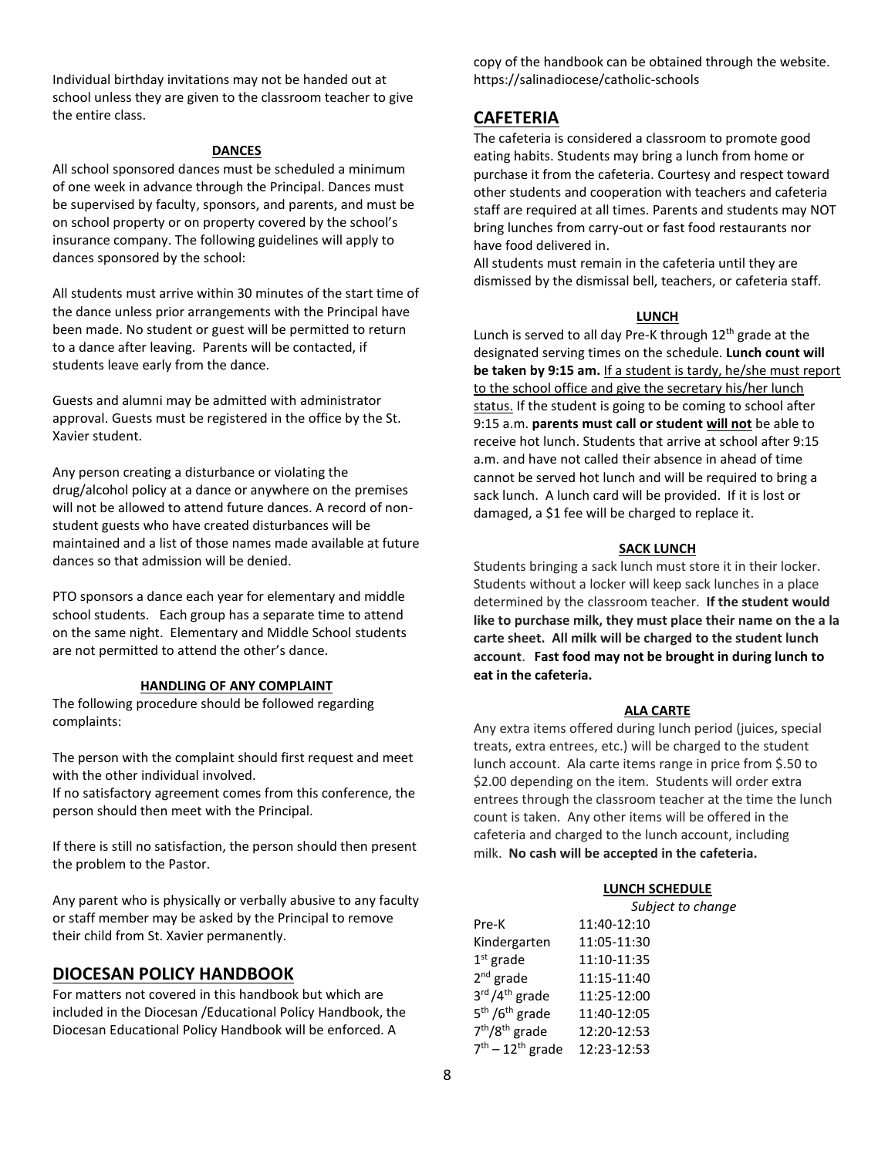Individual birthday invitations may not be handed out at school unless they are given to the classroom teacher to give the entire class.

#### **DANCES**

All school sponsored dances must be scheduled a minimum of one week in advance through the Principal. Dances must be supervised by faculty, sponsors, and parents, and must be on school property or on property covered by the school's insurance company. The following guidelines will apply to dances sponsored by the school:

All students must arrive within 30 minutes of the start time of the dance unless prior arrangements with the Principal have been made. No student or guest will be permitted to return to a dance after leaving. Parents will be contacted, if students leave early from the dance.

Guests and alumni may be admitted with administrator approval. Guests must be registered in the office by the St. Xavier student.

Any person creating a disturbance or violating the drug/alcohol policy at a dance or anywhere on the premises will not be allowed to attend future dances. A record of nonstudent guests who have created disturbances will be maintained and a list of those names made available at future dances so that admission will be denied.

PTO sponsors a dance each year for elementary and middle school students. Each group has a separate time to attend on the same night. Elementary and Middle School students are not permitted to attend the other's dance.

#### **HANDLING OF ANY COMPLAINT**

The following procedure should be followed regarding complaints:

The person with the complaint should first request and meet with the other individual involved.

If no satisfactory agreement comes from this conference, the person should then meet with the Principal.

If there is still no satisfaction, the person should then present the problem to the Pastor.

Any parent who is physically or verbally abusive to any faculty or staff member may be asked by the Principal to remove their child from St. Xavier permanently.

#### **DIOCESAN POLICY HANDBOOK**

For matters not covered in this handbook but which are included in the Diocesan /Educational Policy Handbook, the Diocesan Educational Policy Handbook will be enforced. A

copy of the handbook can be obtained through the website. https://salinadiocese/catholic-schools

## **CAFETERIA**

The cafeteria is considered a classroom to promote good eating habits. Students may bring a lunch from home or purchase it from the cafeteria. Courtesy and respect toward other students and cooperation with teachers and cafeteria staff are required at all times. Parents and students may NOT bring lunches from carry-out or fast food restaurants nor have food delivered in.

All students must remain in the cafeteria until they are dismissed by the dismissal bell, teachers, or cafeteria staff.

#### **LUNCH**

Lunch is served to all day Pre-K through  $12<sup>th</sup>$  grade at the designated serving times on the schedule. **Lunch count will be taken by 9:15 am.** If a student is tardy, he/she must report to the school office and give the secretary his/her lunch status. If the student is going to be coming to school after 9:15 a.m. **parents must call or student will not** be able to receive hot lunch. Students that arrive at school after 9:15 a.m. and have not called their absence in ahead of time cannot be served hot lunch and will be required to bring a sack lunch. A lunch card will be provided. If it is lost or damaged, a \$1 fee will be charged to replace it.

#### **SACK LUNCH**

Students bringing a sack lunch must store it in their locker. Students without a locker will keep sack lunches in a place determined by the classroom teacher. **If the student would like to purchase milk, they must place their name on the a la carte sheet. All milk will be charged to the student lunch account**. **Fast food may not be brought in during lunch to eat in the cafeteria.**

#### **ALA CARTE**

Any extra items offered during lunch period (juices, special treats, extra entrees, etc.) will be charged to the student lunch account. Ala carte items range in price from \$.50 to \$2.00 depending on the item. Students will order extra entrees through the classroom teacher at the time the lunch count is taken. Any other items will be offered in the cafeteria and charged to the lunch account, including milk. **No cash will be accepted in the cafeteria.**

#### **LUNCH SCHEDULE**

|                                        | Subject to change |
|----------------------------------------|-------------------|
| Pre-K                                  | 11:40-12:10       |
| Kindergarten                           | 11:05-11:30       |
| $1st$ grade                            | 11:10-11:35       |
| $2nd$ grade                            | 11:15-11:40       |
| 3rd / 4 <sup>th</sup> grade            | 11:25-12:00       |
| 5 <sup>th</sup> /6 <sup>th</sup> grade | 11:40-12:05       |
| 7 <sup>th</sup> /8 <sup>th</sup> grade | 12:20-12:53       |
| $7th - 12th$ grade                     | 12:23-12:53       |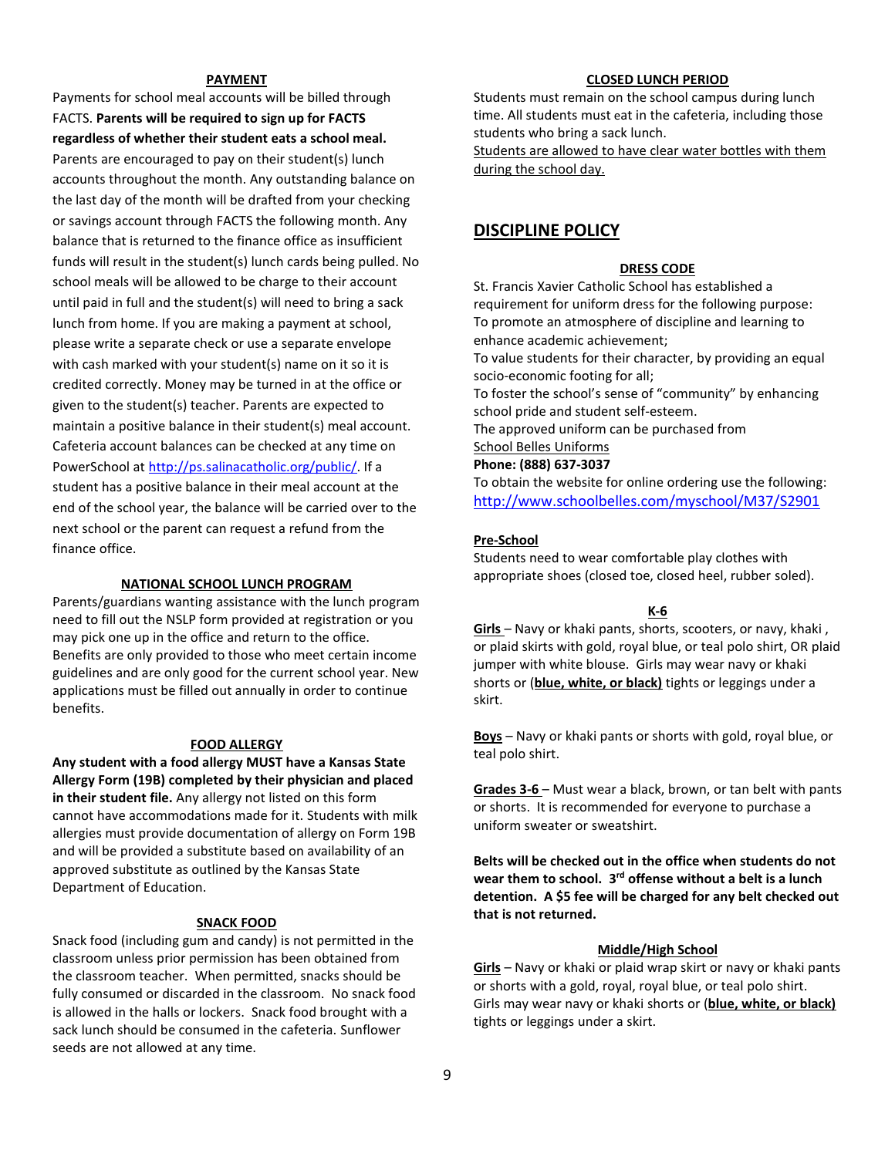#### **PAYMENT**

Payments for school meal accounts will be billed through FACTS. **Parents will be required to sign up for FACTS regardless of whether their student eats a school meal.**  Parents are encouraged to pay on their student(s) lunch accounts throughout the month. Any outstanding balance on the last day of the month will be drafted from your checking or savings account through FACTS the following month. Any balance that is returned to the finance office as insufficient funds will result in the student(s) lunch cards being pulled. No school meals will be allowed to be charge to their account until paid in full and the student(s) will need to bring a sack lunch from home. If you are making a payment at school, please write a separate check or use a separate envelope with cash marked with your student(s) name on it so it is credited correctly. Money may be turned in at the office or given to the student(s) teacher. Parents are expected to maintain a positive balance in their student(s) meal account. Cafeteria account balances can be checked at any time on PowerSchool a[t http://ps.salinacatholic.org/public/.](http://ps.salinacatholic.org/public/) If a student has a positive balance in their meal account at the end of the school year, the balance will be carried over to the next school or the parent can request a refund from the finance office.

#### **NATIONAL SCHOOL LUNCH PROGRAM**

Parents/guardians wanting assistance with the lunch program need to fill out the NSLP form provided at registration or you may pick one up in the office and return to the office. Benefits are only provided to those who meet certain income guidelines and are only good for the current school year. New applications must be filled out annually in order to continue benefits.

#### **FOOD ALLERGY**

**Any student with a food allergy MUST have a Kansas State Allergy Form (19B) completed by their physician and placed in their student file.** Any allergy not listed on this form cannot have accommodations made for it. Students with milk allergies must provide documentation of allergy on Form 19B and will be provided a substitute based on availability of an approved substitute as outlined by the Kansas State Department of Education.

#### **SNACK FOOD**

Snack food (including gum and candy) is not permitted in the classroom unless prior permission has been obtained from the classroom teacher. When permitted, snacks should be fully consumed or discarded in the classroom. No snack food is allowed in the halls or lockers. Snack food brought with a sack lunch should be consumed in the cafeteria. Sunflower seeds are not allowed at any time.

## **CLOSED LUNCH PERIOD**

Students must remain on the school campus during lunch time. All students must eat in the cafeteria, including those students who bring a sack lunch.

Students are allowed to have clear water bottles with them during the school day.

## **DISCIPLINE POLICY**

#### **DRESS CODE**

St. Francis Xavier Catholic School has established a requirement for uniform dress for the following purpose: To promote an atmosphere of discipline and learning to enhance academic achievement; To value students for their character, by providing an equal socio-economic footing for all; To foster the school's sense of "community" by enhancing school pride and student self-esteem. The approved uniform can be purchased from School Belles Uniforms **Phone: (888) 637-3037** To obtain the website for online ordering use the following:

<http://www.schoolbelles.com/myschool/M37/S2901>

#### **Pre-School**

Students need to wear comfortable play clothes with appropriate shoes (closed toe, closed heel, rubber soled).

#### **K-6**

**Girls** – Navy or khaki pants, shorts, scooters, or navy, khaki , or plaid skirts with gold, royal blue, or teal polo shirt, OR plaid jumper with white blouse. Girls may wear navy or khaki shorts or (**blue, white, or black)** tights or leggings under a skirt.

**Boys** – Navy or khaki pants or shorts with gold, royal blue, or teal polo shirt.

**Grades 3-6** – Must wear a black, brown, or tan belt with pants or shorts. It is recommended for everyone to purchase a uniform sweater or sweatshirt.

**Belts will be checked out in the office when students do not**  wear them to school. 3<sup>rd</sup> offense without a belt is a lunch **detention. A \$5 fee will be charged for any belt checked out that is not returned.**

#### **Middle/High School**

**Girls** – Navy or khaki or plaid wrap skirt or navy or khaki pants or shorts with a gold, royal, royal blue, or teal polo shirt. Girls may wear navy or khaki shorts or (**blue, white, or black)** tights or leggings under a skirt.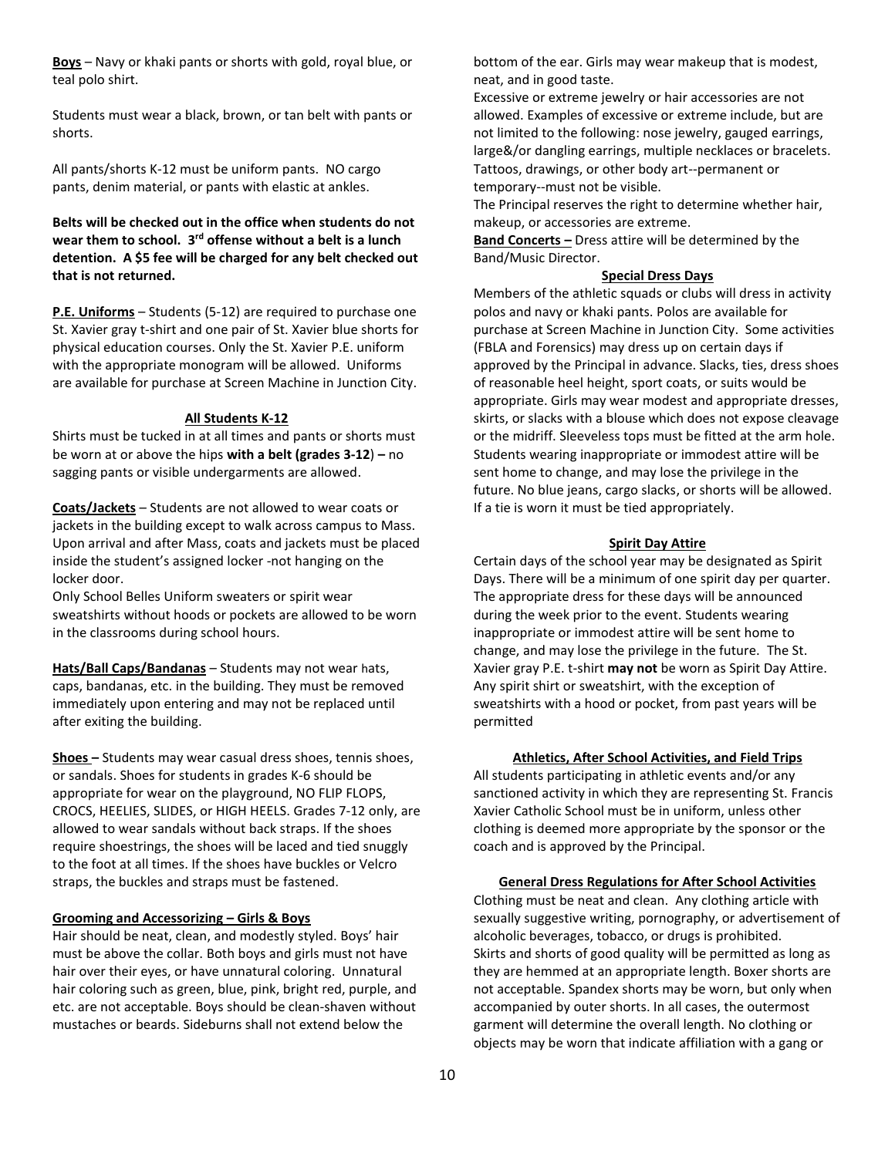**Boys** – Navy or khaki pants or shorts with gold, royal blue, or teal polo shirt.

Students must wear a black, brown, or tan belt with pants or shorts.

All pants/shorts K-12 must be uniform pants. NO cargo pants, denim material, or pants with elastic at ankles.

## **Belts will be checked out in the office when students do not**  wear them to school. 3<sup>rd</sup> offense without a belt is a lunch **detention. A \$5 fee will be charged for any belt checked out that is not returned.**

**P.E. Uniforms** – Students (5-12) are required to purchase one St. Xavier gray t-shirt and one pair of St. Xavier blue shorts for physical education courses. Only the St. Xavier P.E. uniform with the appropriate monogram will be allowed. Uniforms are available for purchase at Screen Machine in Junction City.

#### **All Students K-12**

Shirts must be tucked in at all times and pants or shorts must be worn at or above the hips **with a belt (grades 3-12**) **–** no sagging pants or visible undergarments are allowed.

**Coats/Jackets** – Students are not allowed to wear coats or jackets in the building except to walk across campus to Mass. Upon arrival and after Mass, coats and jackets must be placed inside the student's assigned locker -not hanging on the locker door.

Only School Belles Uniform sweaters or spirit wear sweatshirts without hoods or pockets are allowed to be worn in the classrooms during school hours.

**Hats/Ball Caps/Bandanas** – Students may not wear hats, caps, bandanas, etc. in the building. They must be removed immediately upon entering and may not be replaced until after exiting the building.

**Shoes –** Students may wear casual dress shoes, tennis shoes, or sandals. Shoes for students in grades K-6 should be appropriate for wear on the playground, NO FLIP FLOPS, CROCS, HEELIES, SLIDES, or HIGH HEELS. Grades 7-12 only, are allowed to wear sandals without back straps. If the shoes require shoestrings, the shoes will be laced and tied snuggly to the foot at all times. If the shoes have buckles or Velcro straps, the buckles and straps must be fastened.

#### **Grooming and Accessorizing – Girls & Boys**

Hair should be neat, clean, and modestly styled. Boys' hair must be above the collar. Both boys and girls must not have hair over their eyes, or have unnatural coloring. Unnatural hair coloring such as green, blue, pink, bright red, purple, and etc. are not acceptable. Boys should be clean-shaven without mustaches or beards. Sideburns shall not extend below the

bottom of the ear. Girls may wear makeup that is modest, neat, and in good taste.

Excessive or extreme jewelry or hair accessories are not allowed. Examples of excessive or extreme include, but are not limited to the following: nose jewelry, gauged earrings, large&/or dangling earrings, multiple necklaces or bracelets. Tattoos, drawings, or other body art--permanent or temporary--must not be visible.

The Principal reserves the right to determine whether hair, makeup, or accessories are extreme.

**Band Concerts –** Dress attire will be determined by the Band/Music Director.

#### **Special Dress Days**

Members of the athletic squads or clubs will dress in activity polos and navy or khaki pants. Polos are available for purchase at Screen Machine in Junction City. Some activities (FBLA and Forensics) may dress up on certain days if approved by the Principal in advance. Slacks, ties, dress shoes of reasonable heel height, sport coats, or suits would be appropriate. Girls may wear modest and appropriate dresses, skirts, or slacks with a blouse which does not expose cleavage or the midriff. Sleeveless tops must be fitted at the arm hole. Students wearing inappropriate or immodest attire will be sent home to change, and may lose the privilege in the future. No blue jeans, cargo slacks, or shorts will be allowed. If a tie is worn it must be tied appropriately.

#### **Spirit Day Attire**

Certain days of the school year may be designated as Spirit Days. There will be a minimum of one spirit day per quarter. The appropriate dress for these days will be announced during the week prior to the event. Students wearing inappropriate or immodest attire will be sent home to change, and may lose the privilege in the future. The St. Xavier gray P.E. t-shirt **may not** be worn as Spirit Day Attire. Any spirit shirt or sweatshirt, with the exception of sweatshirts with a hood or pocket, from past years will be permitted

**Athletics, After School Activities, and Field Trips**

All students participating in athletic events and/or any sanctioned activity in which they are representing St. Francis Xavier Catholic School must be in uniform, unless other clothing is deemed more appropriate by the sponsor or the coach and is approved by the Principal.

#### **General Dress Regulations for After School Activities**

Clothing must be neat and clean. Any clothing article with sexually suggestive writing, pornography, or advertisement of alcoholic beverages, tobacco, or drugs is prohibited. Skirts and shorts of good quality will be permitted as long as they are hemmed at an appropriate length. Boxer shorts are not acceptable. Spandex shorts may be worn, but only when accompanied by outer shorts. In all cases, the outermost garment will determine the overall length. No clothing or objects may be worn that indicate affiliation with a gang or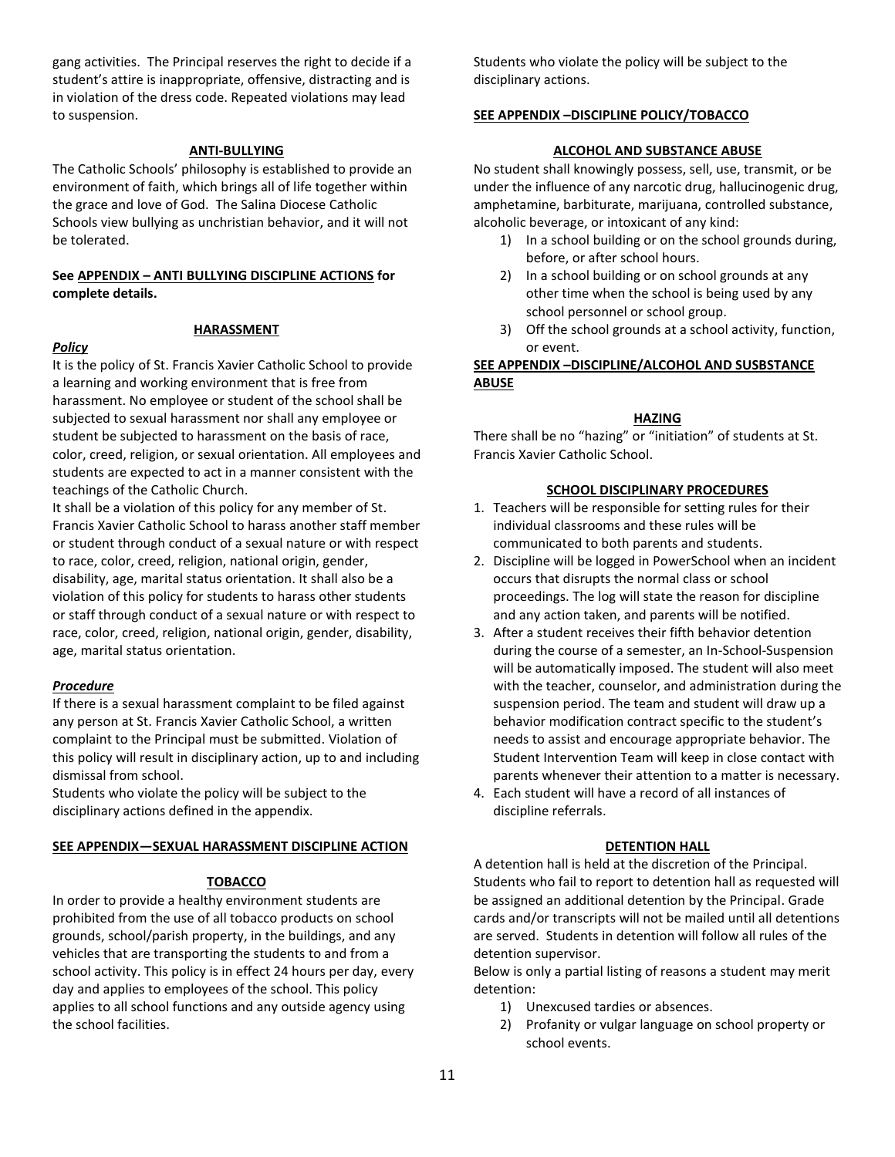gang activities. The Principal reserves the right to decide if a student's attire is inappropriate, offensive, distracting and is in violation of the dress code. Repeated violations may lead to suspension.

#### **ANTI-BULLYING**

The Catholic Schools' philosophy is established to provide an environment of faith, which brings all of life together within the grace and love of God. The Salina Diocese Catholic Schools view bullying as unchristian behavior, and it will not be tolerated.

## **See APPENDIX – ANTI BULLYING DISCIPLINE ACTIONS for complete details.**

#### **HARASSMENT**

#### *Policy*

It is the policy of St. Francis Xavier Catholic School to provide a learning and working environment that is free from harassment. No employee or student of the school shall be subjected to sexual harassment nor shall any employee or student be subjected to harassment on the basis of race, color, creed, religion, or sexual orientation. All employees and students are expected to act in a manner consistent with the teachings of the Catholic Church.

It shall be a violation of this policy for any member of St. Francis Xavier Catholic School to harass another staff member or student through conduct of a sexual nature or with respect to race, color, creed, religion, national origin, gender, disability, age, marital status orientation. It shall also be a violation of this policy for students to harass other students or staff through conduct of a sexual nature or with respect to race, color, creed, religion, national origin, gender, disability, age, marital status orientation.

#### *Procedure*

If there is a sexual harassment complaint to be filed against any person at St. Francis Xavier Catholic School, a written complaint to the Principal must be submitted. Violation of this policy will result in disciplinary action, up to and including dismissal from school.

Students who violate the policy will be subject to the disciplinary actions defined in the appendix.

#### **SEE APPENDIX—SEXUAL HARASSMENT DISCIPLINE ACTION**

#### **TOBACCO**

In order to provide a healthy environment students are prohibited from the use of all tobacco products on school grounds, school/parish property, in the buildings, and any vehicles that are transporting the students to and from a school activity. This policy is in effect 24 hours per day, every day and applies to employees of the school. This policy applies to all school functions and any outside agency using the school facilities.

Students who violate the policy will be subject to the disciplinary actions.

#### **SEE APPENDIX –DISCIPLINE POLICY/TOBACCO**

#### **ALCOHOL AND SUBSTANCE ABUSE**

No student shall knowingly possess, sell, use, transmit, or be under the influence of any narcotic drug, hallucinogenic drug, amphetamine, barbiturate, marijuana, controlled substance, alcoholic beverage, or intoxicant of any kind:

- 1) In a school building or on the school grounds during, before, or after school hours.
- 2) In a school building or on school grounds at any other time when the school is being used by any school personnel or school group.
- 3) Off the school grounds at a school activity, function, or event.

## **SEE APPENDIX –DISCIPLINE/ALCOHOL AND SUSBSTANCE ABUSE**

#### **HAZING**

There shall be no "hazing" or "initiation" of students at St. Francis Xavier Catholic School.

#### **SCHOOL DISCIPLINARY PROCEDURES**

- 1. Teachers will be responsible for setting rules for their individual classrooms and these rules will be communicated to both parents and students.
- 2. Discipline will be logged in PowerSchool when an incident occurs that disrupts the normal class or school proceedings. The log will state the reason for discipline and any action taken, and parents will be notified.
- 3. After a student receives their fifth behavior detention during the course of a semester, an In-School-Suspension will be automatically imposed. The student will also meet with the teacher, counselor, and administration during the suspension period. The team and student will draw up a behavior modification contract specific to the student's needs to assist and encourage appropriate behavior. The Student Intervention Team will keep in close contact with parents whenever their attention to a matter is necessary.
- 4. Each student will have a record of all instances of discipline referrals.

#### **DETENTION HALL**

A detention hall is held at the discretion of the Principal. Students who fail to report to detention hall as requested will be assigned an additional detention by the Principal. Grade cards and/or transcripts will not be mailed until all detentions are served. Students in detention will follow all rules of the detention supervisor.

Below is only a partial listing of reasons a student may merit detention:

- 1) Unexcused tardies or absences.
- 2) Profanity or vulgar language on school property or school events.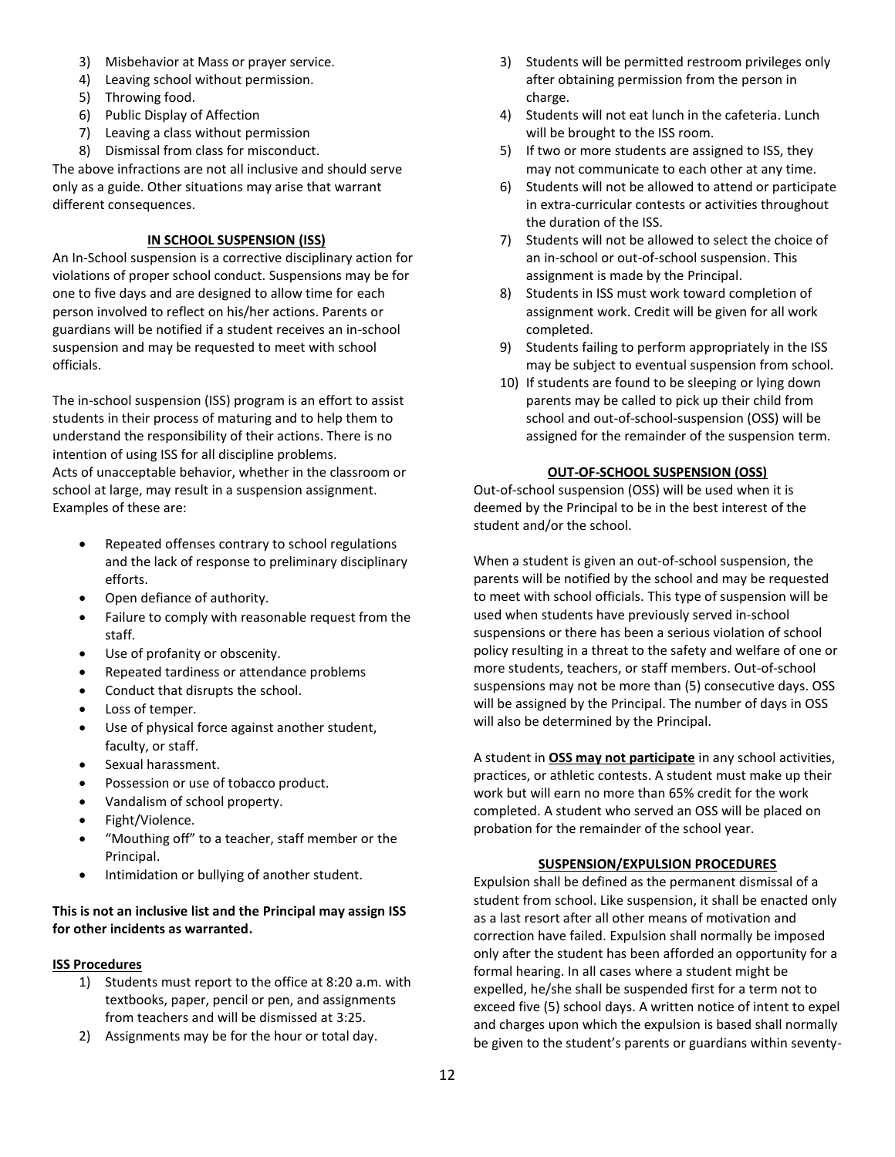- 3) Misbehavior at Mass or prayer service.
- 4) Leaving school without permission.
- 5) Throwing food.
- 6) Public Display of Affection
- 7) Leaving a class without permission
- 8) Dismissal from class for misconduct.

The above infractions are not all inclusive and should serve only as a guide. Other situations may arise that warrant different consequences.

## **IN SCHOOL SUSPENSION (ISS)**

An In-School suspension is a corrective disciplinary action for violations of proper school conduct. Suspensions may be for one to five days and are designed to allow time for each person involved to reflect on his/her actions. Parents or guardians will be notified if a student receives an in-school suspension and may be requested to meet with school officials.

The in-school suspension (ISS) program is an effort to assist students in their process of maturing and to help them to understand the responsibility of their actions. There is no intention of using ISS for all discipline problems. Acts of unacceptable behavior, whether in the classroom or school at large, may result in a suspension assignment. Examples of these are:

- Repeated offenses contrary to school regulations and the lack of response to preliminary disciplinary efforts.
- Open defiance of authority.
- Failure to comply with reasonable request from the staff.
- Use of profanity or obscenity.
- Repeated tardiness or attendance problems
- Conduct that disrupts the school.
- Loss of temper.
- Use of physical force against another student, faculty, or staff.
- Sexual harassment.
- Possession or use of tobacco product.
- Vandalism of school property.
- Fight/Violence.
- "Mouthing off" to a teacher, staff member or the Principal.
- Intimidation or bullying of another student.

## **This is not an inclusive list and the Principal may assign ISS for other incidents as warranted.**

## **ISS Procedures**

- 1) Students must report to the office at 8:20 a.m. with textbooks, paper, pencil or pen, and assignments from teachers and will be dismissed at 3:25.
- 2) Assignments may be for the hour or total day.
- 3) Students will be permitted restroom privileges only after obtaining permission from the person in charge.
- 4) Students will not eat lunch in the cafeteria. Lunch will be brought to the ISS room.
- 5) If two or more students are assigned to ISS, they may not communicate to each other at any time.
- 6) Students will not be allowed to attend or participate in extra-curricular contests or activities throughout the duration of the ISS.
- 7) Students will not be allowed to select the choice of an in-school or out-of-school suspension. This assignment is made by the Principal.
- 8) Students in ISS must work toward completion of assignment work. Credit will be given for all work completed.
- 9) Students failing to perform appropriately in the ISS may be subject to eventual suspension from school.
- 10) If students are found to be sleeping or lying down parents may be called to pick up their child from school and out-of-school-suspension (OSS) will be assigned for the remainder of the suspension term.

## **OUT-OF-SCHOOL SUSPENSION (OSS)**

Out-of-school suspension (OSS) will be used when it is deemed by the Principal to be in the best interest of the student and/or the school.

When a student is given an out-of-school suspension, the parents will be notified by the school and may be requested to meet with school officials. This type of suspension will be used when students have previously served in-school suspensions or there has been a serious violation of school policy resulting in a threat to the safety and welfare of one or more students, teachers, or staff members. Out-of-school suspensions may not be more than (5) consecutive days. OSS will be assigned by the Principal. The number of days in OSS will also be determined by the Principal.

A student in **OSS may not participate** in any school activities, practices, or athletic contests. A student must make up their work but will earn no more than 65% credit for the work completed. A student who served an OSS will be placed on probation for the remainder of the school year.

## **SUSPENSION/EXPULSION PROCEDURES**

Expulsion shall be defined as the permanent dismissal of a student from school. Like suspension, it shall be enacted only as a last resort after all other means of motivation and correction have failed. Expulsion shall normally be imposed only after the student has been afforded an opportunity for a formal hearing. In all cases where a student might be expelled, he/she shall be suspended first for a term not to exceed five (5) school days. A written notice of intent to expel and charges upon which the expulsion is based shall normally be given to the student's parents or guardians within seventy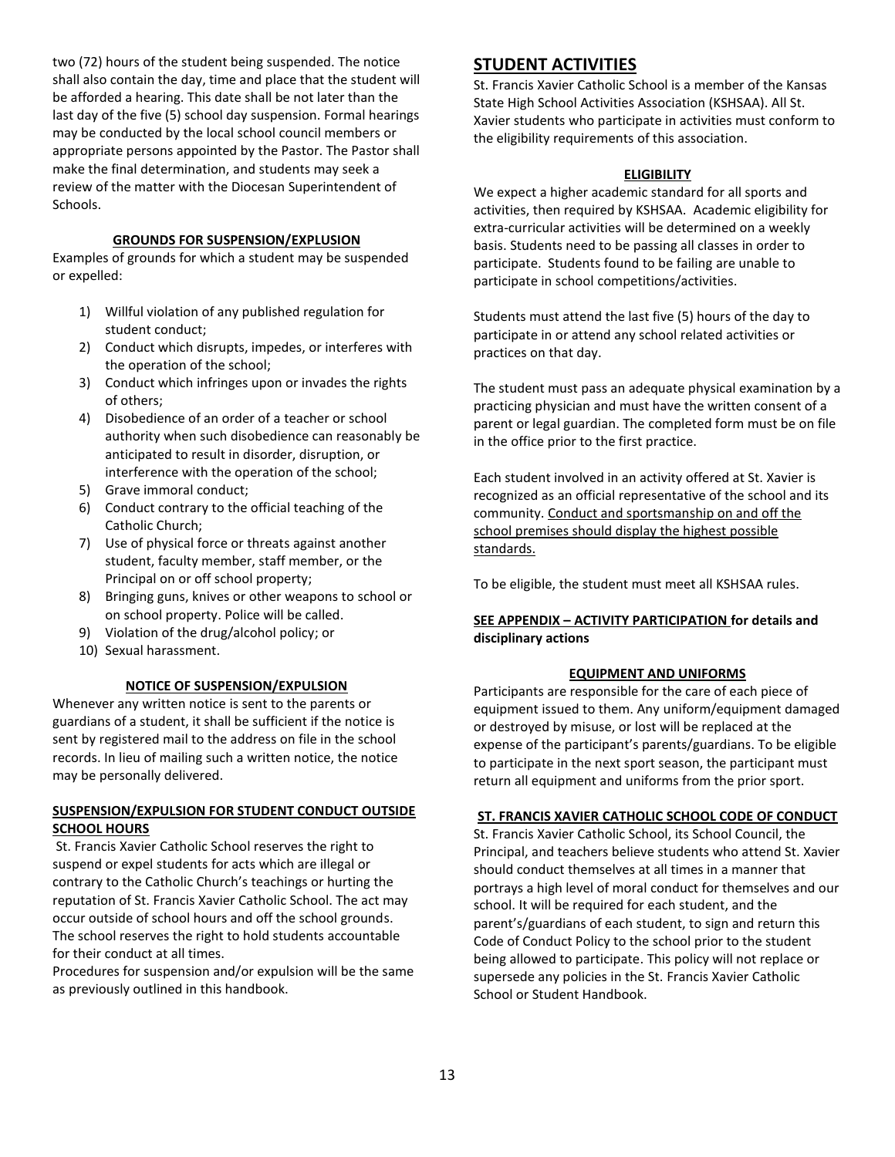two (72) hours of the student being suspended. The notice shall also contain the day, time and place that the student will be afforded a hearing. This date shall be not later than the last day of the five (5) school day suspension. Formal hearings may be conducted by the local school council members or appropriate persons appointed by the Pastor. The Pastor shall make the final determination, and students may seek a review of the matter with the Diocesan Superintendent of Schools.

#### **GROUNDS FOR SUSPENSION/EXPLUSION**

Examples of grounds for which a student may be suspended or expelled:

- 1) Willful violation of any published regulation for student conduct;
- 2) Conduct which disrupts, impedes, or interferes with the operation of the school;
- 3) Conduct which infringes upon or invades the rights of others;
- 4) Disobedience of an order of a teacher or school authority when such disobedience can reasonably be anticipated to result in disorder, disruption, or interference with the operation of the school;
- 5) Grave immoral conduct;
- 6) Conduct contrary to the official teaching of the Catholic Church;
- 7) Use of physical force or threats against another student, faculty member, staff member, or the Principal on or off school property;
- 8) Bringing guns, knives or other weapons to school or on school property. Police will be called.
- 9) Violation of the drug/alcohol policy; or
- 10) Sexual harassment.

#### **NOTICE OF SUSPENSION/EXPULSION**

Whenever any written notice is sent to the parents or guardians of a student, it shall be sufficient if the notice is sent by registered mail to the address on file in the school records. In lieu of mailing such a written notice, the notice may be personally delivered.

## **SUSPENSION/EXPULSION FOR STUDENT CONDUCT OUTSIDE SCHOOL HOURS**

St. Francis Xavier Catholic School reserves the right to suspend or expel students for acts which are illegal or contrary to the Catholic Church's teachings or hurting the reputation of St. Francis Xavier Catholic School. The act may occur outside of school hours and off the school grounds. The school reserves the right to hold students accountable for their conduct at all times.

Procedures for suspension and/or expulsion will be the same as previously outlined in this handbook.

## **STUDENT ACTIVITIES**

St. Francis Xavier Catholic School is a member of the Kansas State High School Activities Association (KSHSAA). All St. Xavier students who participate in activities must conform to the eligibility requirements of this association.

#### **ELIGIBILITY**

We expect a higher academic standard for all sports and activities, then required by KSHSAA. Academic eligibility for extra-curricular activities will be determined on a weekly basis. Students need to be passing all classes in order to participate. Students found to be failing are unable to participate in school competitions/activities.

Students must attend the last five (5) hours of the day to participate in or attend any school related activities or practices on that day.

The student must pass an adequate physical examination by a practicing physician and must have the written consent of a parent or legal guardian. The completed form must be on file in the office prior to the first practice.

Each student involved in an activity offered at St. Xavier is recognized as an official representative of the school and its community. Conduct and sportsmanship on and off the school premises should display the highest possible standards.

To be eligible, the student must meet all KSHSAA rules.

## **SEE APPENDIX – ACTIVITY PARTICIPATION for details and disciplinary actions**

#### **EQUIPMENT AND UNIFORMS**

Participants are responsible for the care of each piece of equipment issued to them. Any uniform/equipment damaged or destroyed by misuse, or lost will be replaced at the expense of the participant's parents/guardians. To be eligible to participate in the next sport season, the participant must return all equipment and uniforms from the prior sport.

#### **ST. FRANCIS XAVIER CATHOLIC SCHOOL CODE OF CONDUCT**

St. Francis Xavier Catholic School, its School Council, the Principal, and teachers believe students who attend St. Xavier should conduct themselves at all times in a manner that portrays a high level of moral conduct for themselves and our school. It will be required for each student, and the parent's/guardians of each student, to sign and return this Code of Conduct Policy to the school prior to the student being allowed to participate. This policy will not replace or supersede any policies in the St. Francis Xavier Catholic School or Student Handbook.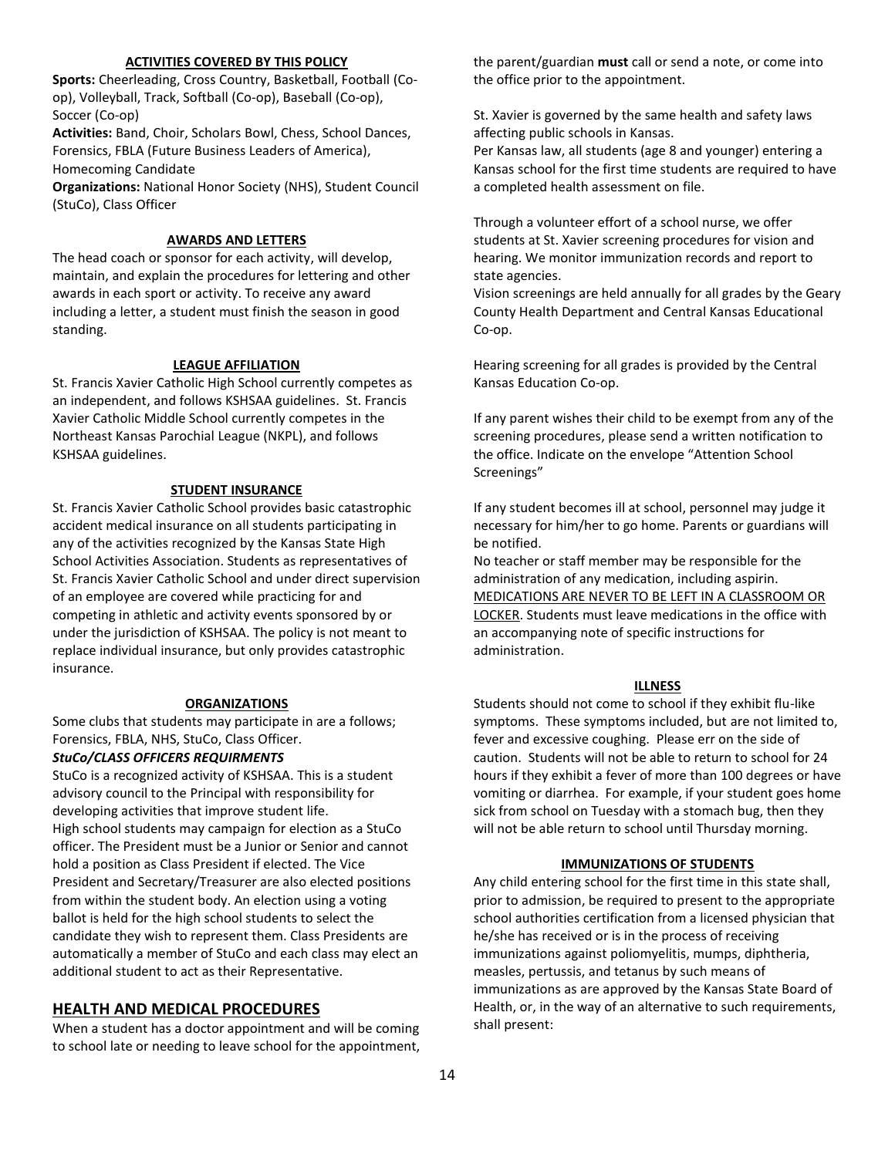#### **ACTIVITIES COVERED BY THIS POLICY**

**Sports:** Cheerleading, Cross Country, Basketball, Football (Coop), Volleyball, Track, Softball (Co-op), Baseball (Co-op), Soccer (Co-op)

**Activities:** Band, Choir, Scholars Bowl, Chess, School Dances, Forensics, FBLA (Future Business Leaders of America), Homecoming Candidate

**Organizations:** National Honor Society (NHS), Student Council (StuCo), Class Officer

#### **AWARDS AND LETTERS**

The head coach or sponsor for each activity, will develop, maintain, and explain the procedures for lettering and other awards in each sport or activity. To receive any award including a letter, a student must finish the season in good standing.

#### **LEAGUE AFFILIATION**

St. Francis Xavier Catholic High School currently competes as an independent, and follows KSHSAA guidelines. St. Francis Xavier Catholic Middle School currently competes in the Northeast Kansas Parochial League (NKPL), and follows KSHSAA guidelines.

#### **STUDENT INSURANCE**

St. Francis Xavier Catholic School provides basic catastrophic accident medical insurance on all students participating in any of the activities recognized by the Kansas State High School Activities Association. Students as representatives of St. Francis Xavier Catholic School and under direct supervision of an employee are covered while practicing for and competing in athletic and activity events sponsored by or under the jurisdiction of KSHSAA. The policy is not meant to replace individual insurance, but only provides catastrophic insurance.

#### **ORGANIZATIONS**

Some clubs that students may participate in are a follows; Forensics, FBLA, NHS, StuCo, Class Officer.

#### *StuCo/CLASS OFFICERS REQUIRMENTS*

StuCo is a recognized activity of KSHSAA. This is a student advisory council to the Principal with responsibility for developing activities that improve student life. High school students may campaign for election as a StuCo officer. The President must be a Junior or Senior and cannot hold a position as Class President if elected. The Vice President and Secretary/Treasurer are also elected positions from within the student body. An election using a voting ballot is held for the high school students to select the candidate they wish to represent them. Class Presidents are automatically a member of StuCo and each class may elect an additional student to act as their Representative.

#### **HEALTH AND MEDICAL PROCEDURES**

When a student has a doctor appointment and will be coming to school late or needing to leave school for the appointment,

the parent/guardian **must** call or send a note, or come into the office prior to the appointment.

St. Xavier is governed by the same health and safety laws affecting public schools in Kansas.

Per Kansas law, all students (age 8 and younger) entering a Kansas school for the first time students are required to have a completed health assessment on file.

Through a volunteer effort of a school nurse, we offer students at St. Xavier screening procedures for vision and hearing. We monitor immunization records and report to state agencies.

Vision screenings are held annually for all grades by the Geary County Health Department and Central Kansas Educational Co-op.

Hearing screening for all grades is provided by the Central Kansas Education Co-op.

If any parent wishes their child to be exempt from any of the screening procedures, please send a written notification to the office. Indicate on the envelope "Attention School Screenings"

If any student becomes ill at school, personnel may judge it necessary for him/her to go home. Parents or guardians will be notified.

No teacher or staff member may be responsible for the administration of any medication, including aspirin. MEDICATIONS ARE NEVER TO BE LEFT IN A CLASSROOM OR LOCKER. Students must leave medications in the office with an accompanying note of specific instructions for administration.

#### **ILLNESS**

Students should not come to school if they exhibit flu-like symptoms. These symptoms included, but are not limited to, fever and excessive coughing. Please err on the side of caution. Students will not be able to return to school for 24 hours if they exhibit a fever of more than 100 degrees or have vomiting or diarrhea. For example, if your student goes home sick from school on Tuesday with a stomach bug, then they will not be able return to school until Thursday morning.

#### **IMMUNIZATIONS OF STUDENTS**

Any child entering school for the first time in this state shall, prior to admission, be required to present to the appropriate school authorities certification from a licensed physician that he/she has received or is in the process of receiving immunizations against poliomyelitis, mumps, diphtheria, measles, pertussis, and tetanus by such means of immunizations as are approved by the Kansas State Board of Health, or, in the way of an alternative to such requirements, shall present: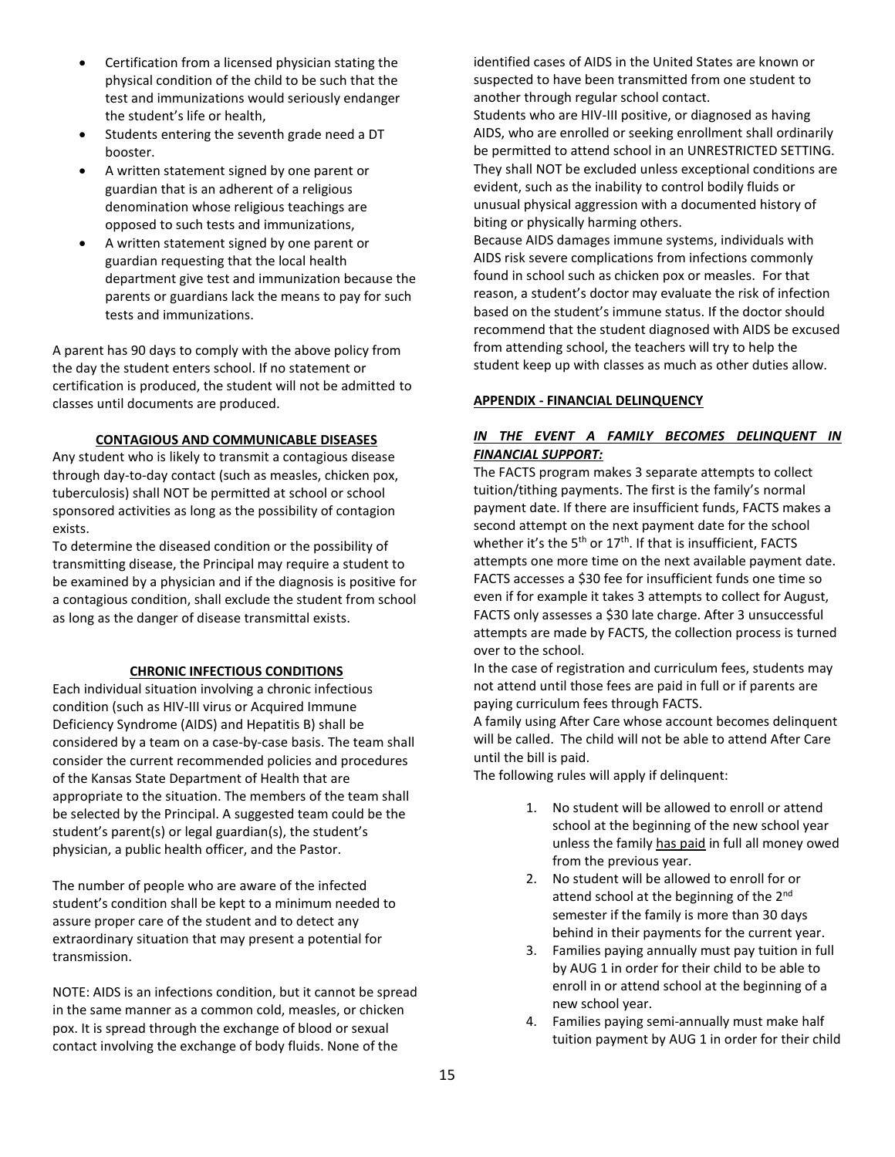- Certification from a licensed physician stating the physical condition of the child to be such that the test and immunizations would seriously endanger the student's life or health,
- Students entering the seventh grade need a DT booster.
- A written statement signed by one parent or guardian that is an adherent of a religious denomination whose religious teachings are opposed to such tests and immunizations,
- A written statement signed by one parent or guardian requesting that the local health department give test and immunization because the parents or guardians lack the means to pay for such tests and immunizations.

A parent has 90 days to comply with the above policy from the day the student enters school. If no statement or certification is produced, the student will not be admitted to classes until documents are produced.

### **CONTAGIOUS AND COMMUNICABLE DISEASES**

Any student who is likely to transmit a contagious disease through day-to-day contact (such as measles, chicken pox, tuberculosis) shall NOT be permitted at school or school sponsored activities as long as the possibility of contagion exists.

To determine the diseased condition or the possibility of transmitting disease, the Principal may require a student to be examined by a physician and if the diagnosis is positive for a contagious condition, shall exclude the student from school as long as the danger of disease transmittal exists.

#### **CHRONIC INFECTIOUS CONDITIONS**

Each individual situation involving a chronic infectious condition (such as HIV-III virus or Acquired Immune Deficiency Syndrome (AIDS) and Hepatitis B) shall be considered by a team on a case-by-case basis. The team shall consider the current recommended policies and procedures of the Kansas State Department of Health that are appropriate to the situation. The members of the team shall be selected by the Principal. A suggested team could be the student's parent(s) or legal guardian(s), the student's physician, a public health officer, and the Pastor.

The number of people who are aware of the infected student's condition shall be kept to a minimum needed to assure proper care of the student and to detect any extraordinary situation that may present a potential for transmission.

NOTE: AIDS is an infections condition, but it cannot be spread in the same manner as a common cold, measles, or chicken pox. It is spread through the exchange of blood or sexual contact involving the exchange of body fluids. None of the

identified cases of AIDS in the United States are known or suspected to have been transmitted from one student to another through regular school contact.

Students who are HIV-III positive, or diagnosed as having AIDS, who are enrolled or seeking enrollment shall ordinarily be permitted to attend school in an UNRESTRICTED SETTING. They shall NOT be excluded unless exceptional conditions are evident, such as the inability to control bodily fluids or unusual physical aggression with a documented history of biting or physically harming others.

Because AIDS damages immune systems, individuals with AIDS risk severe complications from infections commonly found in school such as chicken pox or measles. For that reason, a student's doctor may evaluate the risk of infection based on the student's immune status. If the doctor should recommend that the student diagnosed with AIDS be excused from attending school, the teachers will try to help the student keep up with classes as much as other duties allow.

#### **APPENDIX - FINANCIAL DELINQUENCY**

## *IN THE EVENT A FAMILY BECOMES DELINQUENT IN FINANCIAL SUPPORT:*

The FACTS program makes 3 separate attempts to collect tuition/tithing payments. The first is the family's normal payment date. If there are insufficient funds, FACTS makes a second attempt on the next payment date for the school whether it's the  $5<sup>th</sup>$  or  $17<sup>th</sup>$ . If that is insufficient, FACTS attempts one more time on the next available payment date. FACTS accesses a \$30 fee for insufficient funds one time so even if for example it takes 3 attempts to collect for August, FACTS only assesses a \$30 late charge. After 3 unsuccessful attempts are made by FACTS, the collection process is turned over to the school.

In the case of registration and curriculum fees, students may not attend until those fees are paid in full or if parents are paying curriculum fees through FACTS.

A family using After Care whose account becomes delinquent will be called. The child will not be able to attend After Care until the bill is paid.

The following rules will apply if delinquent:

- 1. No student will be allowed to enroll or attend school at the beginning of the new school year unless the family has paid in full all money owed from the previous year.
- 2. No student will be allowed to enroll for or attend school at the beginning of the 2<sup>nd</sup> semester if the family is more than 30 days behind in their payments for the current year.
- 3. Families paying annually must pay tuition in full by AUG 1 in order for their child to be able to enroll in or attend school at the beginning of a new school year.
- 4. Families paying semi-annually must make half tuition payment by AUG 1 in order for their child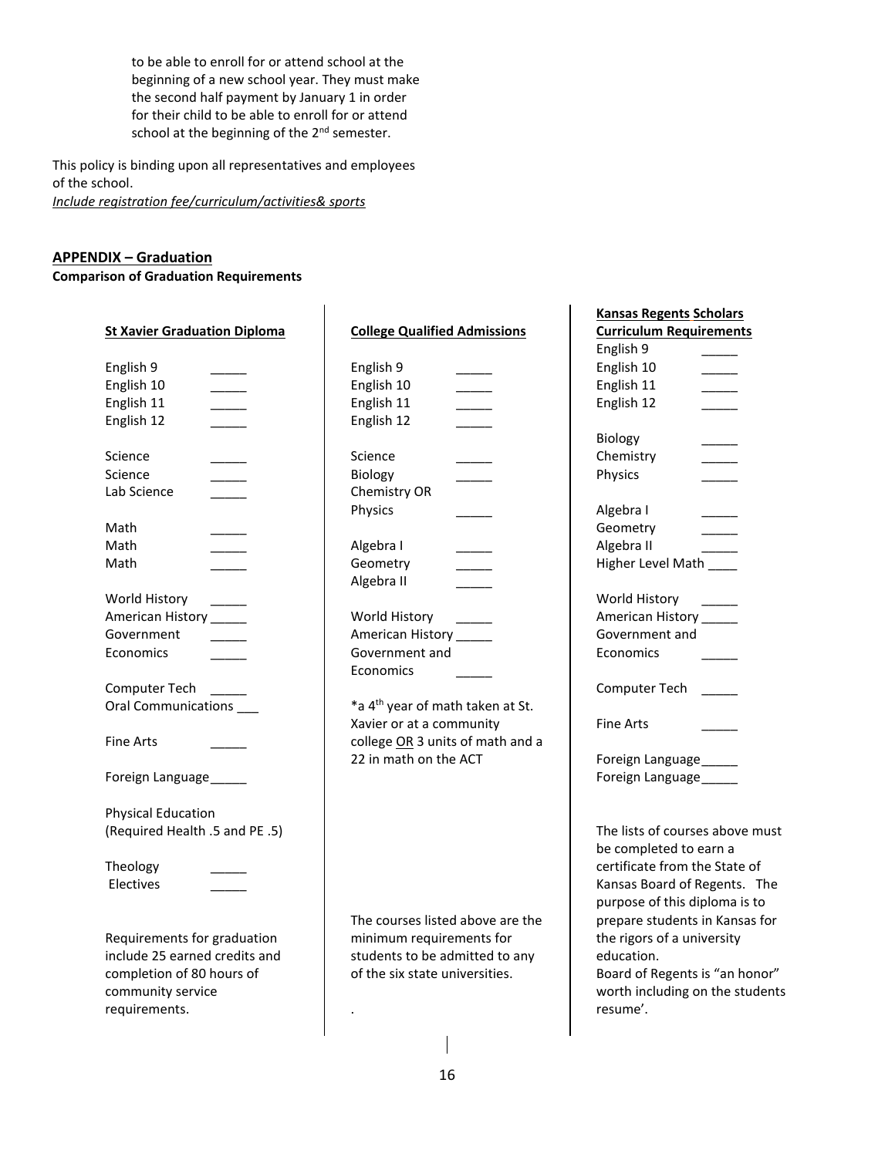to be able to enroll for or attend school at the beginning of a new school year. They must make the second half payment by January 1 in order for their child to be able to enroll for or attend school at the beginning of the 2<sup>nd</sup> semester.

 $\overline{1}$ 

This policy is binding upon all representatives and employees of the school.

*Include registration fee/curriculum/activities& sports*

## **APPENDIX – Graduation**

**Comparison of Graduation Requirements**

|                                        |                                              | <b>Kansas Regents Scholars</b>  |
|----------------------------------------|----------------------------------------------|---------------------------------|
| <b>St Xavier Graduation Diploma</b>    | <b>College Qualified Admissions</b>          | <b>Curriculum Requirements</b>  |
|                                        |                                              | English 9                       |
| English 9                              | English 9                                    | English 10                      |
| English 10                             | English 10                                   | English 11                      |
| English 11<br>$\overline{\phantom{a}}$ | English 11                                   | English 12                      |
| English 12                             | English 12                                   |                                 |
|                                        |                                              | Biology                         |
| Science                                | Science                                      | Chemistry                       |
| Science                                | Biology                                      | Physics                         |
| Lab Science                            | Chemistry OR                                 |                                 |
|                                        | Physics                                      | Algebra I                       |
| Math                                   |                                              | Geometry                        |
| Math                                   | Algebra I                                    | Algebra II                      |
| Math                                   | Geometry                                     | Higher Level Math               |
|                                        | Algebra II                                   |                                 |
| World History                          |                                              | World History                   |
| American History                       | World History                                | American History                |
| Government                             | American History ______                      | Government and                  |
| Economics                              | Government and                               | Economics                       |
|                                        | Economics                                    |                                 |
| Computer Tech                          |                                              | Computer Tech                   |
| Oral Communications ___                | *a 4 <sup>th</sup> year of math taken at St. |                                 |
|                                        | Xavier or at a community                     | <b>Fine Arts</b>                |
| <b>Fine Arts</b>                       | college OR 3 units of math and a             |                                 |
|                                        | 22 in math on the ACT                        | Foreign Language_____           |
| Foreign Language_____                  |                                              | Foreign Language                |
|                                        |                                              |                                 |
| <b>Physical Education</b>              |                                              |                                 |
| (Required Health .5 and PE .5)         |                                              | The lists of courses above must |
|                                        |                                              | be completed to earn a          |
| Theology                               |                                              | certificate from the State of   |
| Electives                              |                                              | Kansas Board of Regents. The    |
|                                        |                                              | purpose of this diploma is to   |
|                                        | The courses listed above are the             | prepare students in Kansas for  |
| Requirements for graduation            | minimum requirements for                     | the rigors of a university      |
| include 25 earned credits and          | students to be admitted to any               | education.                      |
| completion of 80 hours of              | of the six state universities.               | Board of Regents is "an honor"  |
| community service                      |                                              | worth including on the students |
| requirements.                          |                                              | resume'.                        |
|                                        |                                              |                                 |
|                                        |                                              |                                 |

 $\mathbf{I}$ 

 $\overline{\phantom{a}}$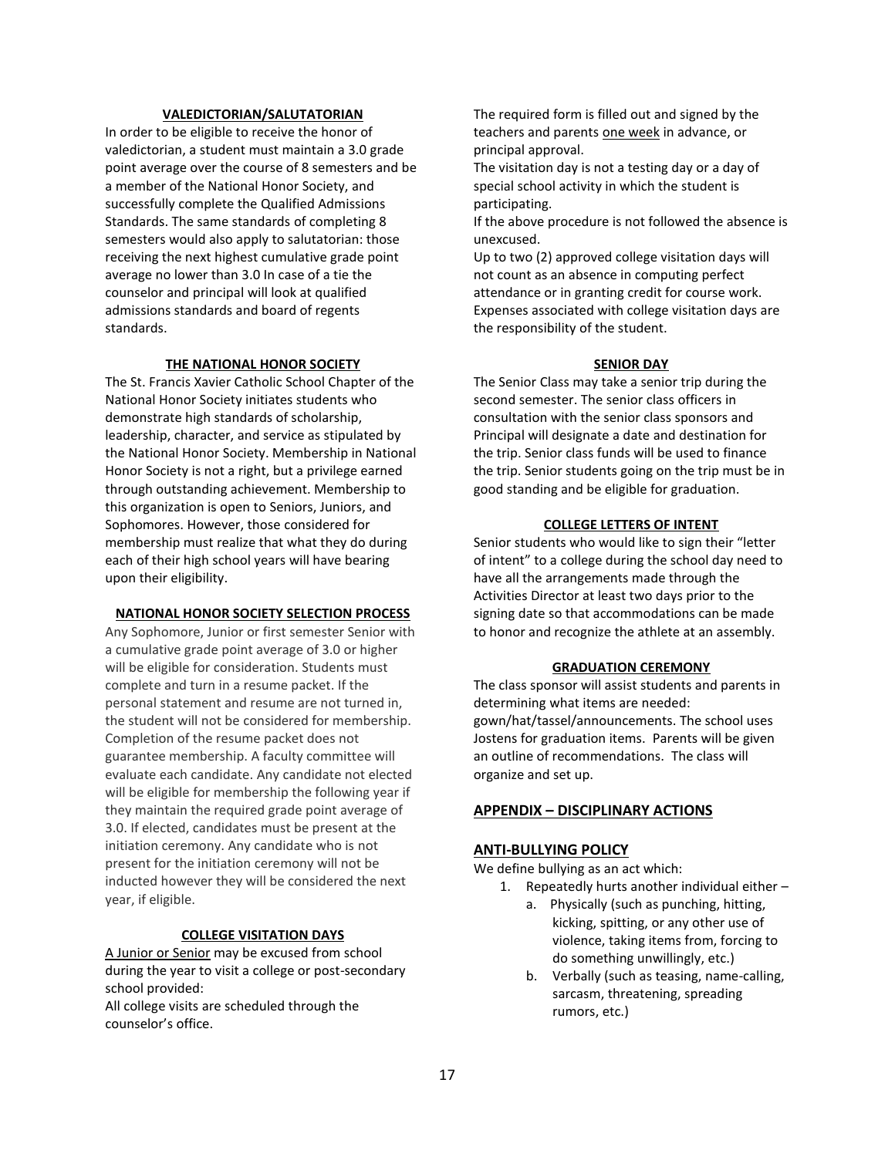#### **VALEDICTORIAN/SALUTATORIAN**

In order to be eligible to receive the honor of valedictorian, a student must maintain a 3.0 grade point average over the course of 8 semesters and be a member of the National Honor Society, and successfully complete the Qualified Admissions Standards. The same standards of completing 8 semesters would also apply to salutatorian: those receiving the next highest cumulative grade point average no lower than 3.0 In case of a tie the counselor and principal will look at qualified admissions standards and board of regents standards.

#### **THE NATIONAL HONOR SOCIETY**

The St. Francis Xavier Catholic School Chapter of the National Honor Society initiates students who demonstrate high standards of scholarship, leadership, character, and service as stipulated by the National Honor Society. Membership in National Honor Society is not a right, but a privilege earned through outstanding achievement. Membership to this organization is open to Seniors, Juniors, and Sophomores. However, those considered for membership must realize that what they do during each of their high school years will have bearing upon their eligibility.

#### **NATIONAL HONOR SOCIETY SELECTION PROCESS**

Any Sophomore, Junior or first semester Senior with a cumulative grade point average of 3.0 or higher will be eligible for consideration. Students must complete and turn in a resume packet. If the personal statement and resume are not turned in, the student will not be considered for membership. Completion of the resume packet does not guarantee membership. A faculty committee will evaluate each candidate. Any candidate not elected will be eligible for membership the following year if they maintain the required grade point average of 3.0. If elected, candidates must be present at the initiation ceremony. Any candidate who is not present for the initiation ceremony will not be inducted however they will be considered the next year, if eligible.

#### **COLLEGE VISITATION DAYS**

A Junior or Senior may be excused from school during the year to visit a college or post-secondary school provided:

All college visits are scheduled through the counselor's office.

The required form is filled out and signed by the teachers and parents one week in advance, or principal approval.

The visitation day is not a testing day or a day of special school activity in which the student is participating.

If the above procedure is not followed the absence is unexcused.

Up to two (2) approved college visitation days will not count as an absence in computing perfect attendance or in granting credit for course work. Expenses associated with college visitation days are the responsibility of the student.

#### **SENIOR DAY**

The Senior Class may take a senior trip during the second semester. The senior class officers in consultation with the senior class sponsors and Principal will designate a date and destination for the trip. Senior class funds will be used to finance the trip. Senior students going on the trip must be in good standing and be eligible for graduation.

#### **COLLEGE LETTERS OF INTENT**

Senior students who would like to sign their "letter of intent" to a college during the school day need to have all the arrangements made through the Activities Director at least two days prior to the signing date so that accommodations can be made to honor and recognize the athlete at an assembly.

#### **GRADUATION CEREMONY**

The class sponsor will assist students and parents in determining what items are needed: gown/hat/tassel/announcements. The school uses Jostens for graduation items. Parents will be given an outline of recommendations. The class will organize and set up.

## **APPENDIX – DISCIPLINARY ACTIONS**

#### **ANTI-BULLYING POLICY**

We define bullying as an act which:

- 1. Repeatedly hurts another individual either
	- a. Physically (such as punching, hitting, kicking, spitting, or any other use of violence, taking items from, forcing to do something unwillingly, etc.)
	- b. Verbally (such as teasing, name-calling, sarcasm, threatening, spreading rumors, etc.)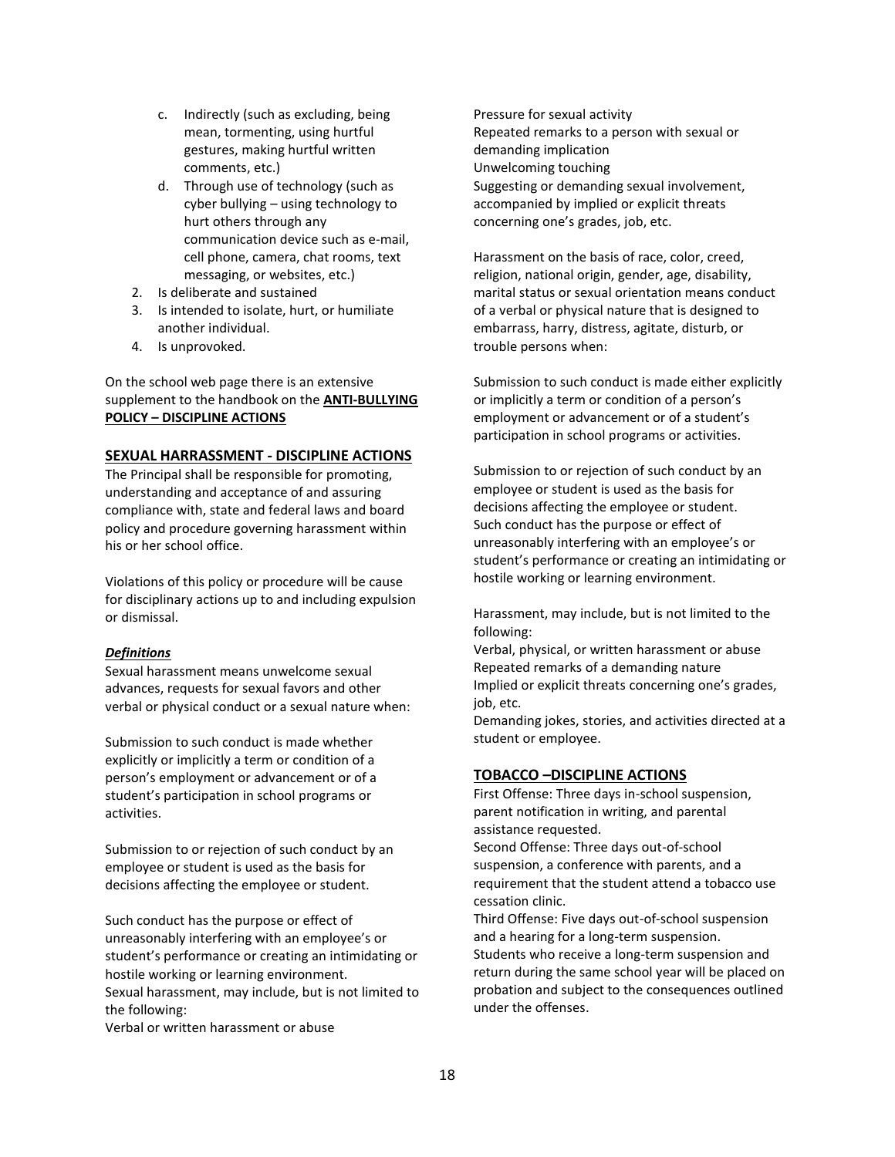- c. Indirectly (such as excluding, being mean, tormenting, using hurtful gestures, making hurtful written comments, etc.)
- d. Through use of technology (such as cyber bullying – using technology to hurt others through any communication device such as e-mail, cell phone, camera, chat rooms, text messaging, or websites, etc.)
- 2. Is deliberate and sustained
- 3. Is intended to isolate, hurt, or humiliate another individual.
- 4. Is unprovoked.

On the school web page there is an extensive supplement to the handbook on the **ANTI-BULLYING POLICY – DISCIPLINE ACTIONS**

## **SEXUAL HARRASSMENT - DISCIPLINE ACTIONS**

The Principal shall be responsible for promoting, understanding and acceptance of and assuring compliance with, state and federal laws and board policy and procedure governing harassment within his or her school office.

Violations of this policy or procedure will be cause for disciplinary actions up to and including expulsion or dismissal.

#### *Definitions*

Sexual harassment means unwelcome sexual advances, requests for sexual favors and other verbal or physical conduct or a sexual nature when:

Submission to such conduct is made whether explicitly or implicitly a term or condition of a person's employment or advancement or of a student's participation in school programs or activities.

Submission to or rejection of such conduct by an employee or student is used as the basis for decisions affecting the employee or student.

Such conduct has the purpose or effect of unreasonably interfering with an employee's or student's performance or creating an intimidating or hostile working or learning environment. Sexual harassment, may include, but is not limited to the following:

Verbal or written harassment or abuse

Pressure for sexual activity Repeated remarks to a person with sexual or demanding implication Unwelcoming touching Suggesting or demanding sexual involvement, accompanied by implied or explicit threats concerning one's grades, job, etc.

Harassment on the basis of race, color, creed, religion, national origin, gender, age, disability, marital status or sexual orientation means conduct of a verbal or physical nature that is designed to embarrass, harry, distress, agitate, disturb, or trouble persons when:

Submission to such conduct is made either explicitly or implicitly a term or condition of a person's employment or advancement or of a student's participation in school programs or activities.

Submission to or rejection of such conduct by an employee or student is used as the basis for decisions affecting the employee or student. Such conduct has the purpose or effect of unreasonably interfering with an employee's or student's performance or creating an intimidating or hostile working or learning environment.

Harassment, may include, but is not limited to the following:

Verbal, physical, or written harassment or abuse Repeated remarks of a demanding nature Implied or explicit threats concerning one's grades, job, etc.

Demanding jokes, stories, and activities directed at a student or employee.

#### **TOBACCO –DISCIPLINE ACTIONS**

First Offense: Three days in-school suspension, parent notification in writing, and parental assistance requested.

Second Offense: Three days out-of-school suspension, a conference with parents, and a requirement that the student attend a tobacco use cessation clinic.

Third Offense: Five days out-of-school suspension and a hearing for a long-term suspension. Students who receive a long-term suspension and return during the same school year will be placed on probation and subject to the consequences outlined under the offenses.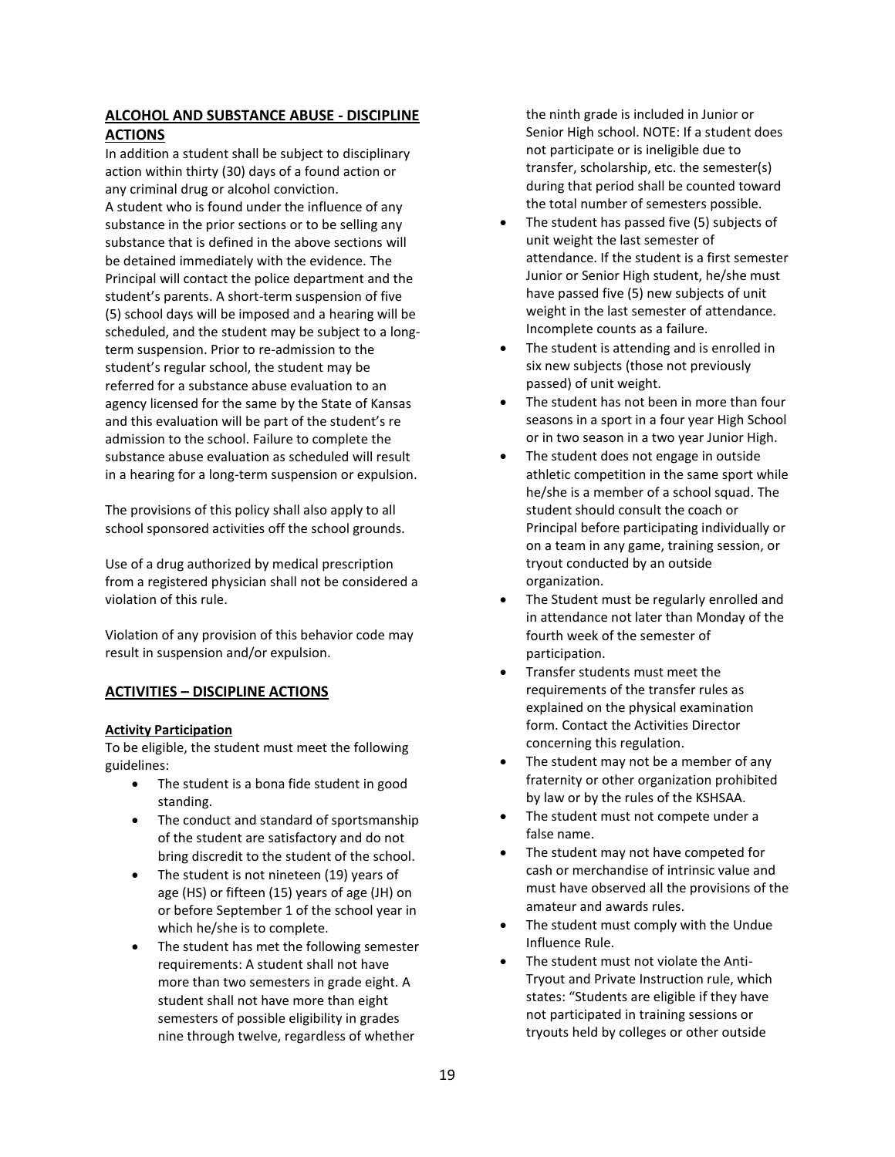## **ALCOHOL AND SUBSTANCE ABUSE - DISCIPLINE ACTIONS**

In addition a student shall be subject to disciplinary action within thirty (30) days of a found action or any criminal drug or alcohol conviction. A student who is found under the influence of any substance in the prior sections or to be selling any substance that is defined in the above sections will be detained immediately with the evidence. The Principal will contact the police department and the student's parents. A short-term suspension of five (5) school days will be imposed and a hearing will be scheduled, and the student may be subject to a longterm suspension. Prior to re-admission to the student's regular school, the student may be referred for a substance abuse evaluation to an agency licensed for the same by the State of Kansas and this evaluation will be part of the student's re admission to the school. Failure to complete the substance abuse evaluation as scheduled will result in a hearing for a long-term suspension or expulsion.

The provisions of this policy shall also apply to all school sponsored activities off the school grounds.

Use of a drug authorized by medical prescription from a registered physician shall not be considered a violation of this rule.

Violation of any provision of this behavior code may result in suspension and/or expulsion.

## **ACTIVITIES – DISCIPLINE ACTIONS**

## **Activity Participation**

To be eligible, the student must meet the following guidelines:

- The student is a bona fide student in good standing.
- The conduct and standard of sportsmanship of the student are satisfactory and do not bring discredit to the student of the school.
- The student is not nineteen (19) years of age (HS) or fifteen (15) years of age (JH) on or before September 1 of the school year in which he/she is to complete.
- The student has met the following semester requirements: A student shall not have more than two semesters in grade eight. A student shall not have more than eight semesters of possible eligibility in grades nine through twelve, regardless of whether

the ninth grade is included in Junior or Senior High school. NOTE: If a student does not participate or is ineligible due to transfer, scholarship, etc. the semester(s) during that period shall be counted toward the total number of semesters possible.

- The student has passed five (5) subjects of unit weight the last semester of attendance. If the student is a first semester Junior or Senior High student, he/she must have passed five (5) new subjects of unit weight in the last semester of attendance. Incomplete counts as a failure.
- The student is attending and is enrolled in six new subjects (those not previously passed) of unit weight.
- The student has not been in more than four seasons in a sport in a four year High School or in two season in a two year Junior High.
- The student does not engage in outside athletic competition in the same sport while he/she is a member of a school squad. The student should consult the coach or Principal before participating individually or on a team in any game, training session, or tryout conducted by an outside organization.
- The Student must be regularly enrolled and in attendance not later than Monday of the fourth week of the semester of participation.
- Transfer students must meet the requirements of the transfer rules as explained on the physical examination form. Contact the Activities Director concerning this regulation.
- The student may not be a member of any fraternity or other organization prohibited by law or by the rules of the KSHSAA.
- The student must not compete under a false name.
- The student may not have competed for cash or merchandise of intrinsic value and must have observed all the provisions of the amateur and awards rules.
- The student must comply with the Undue Influence Rule.
- The student must not violate the Anti-Tryout and Private Instruction rule, which states: "Students are eligible if they have not participated in training sessions or tryouts held by colleges or other outside